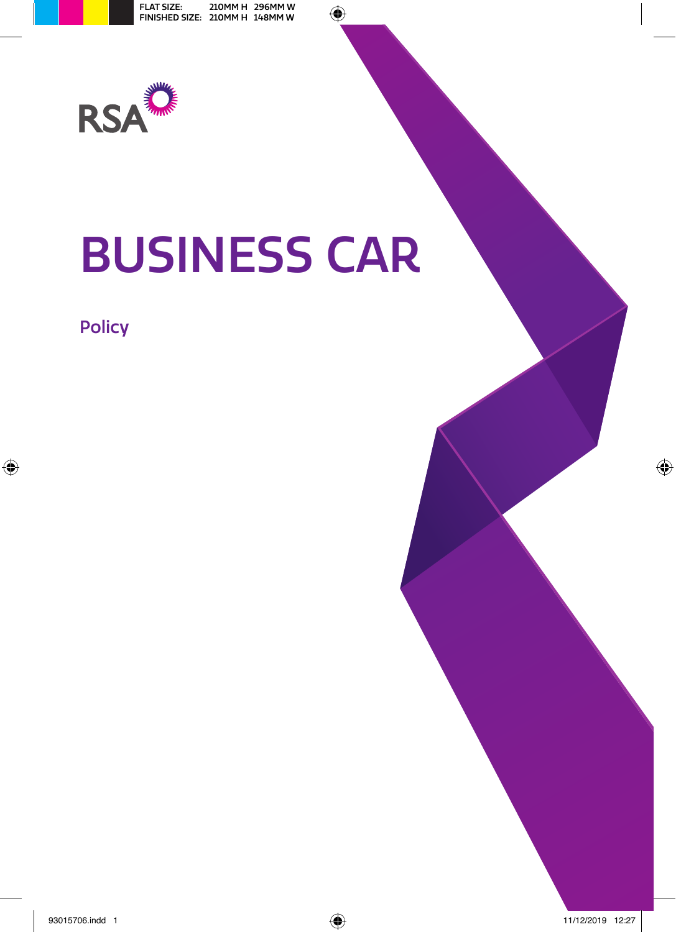

# BUSINESS CAR

## Policy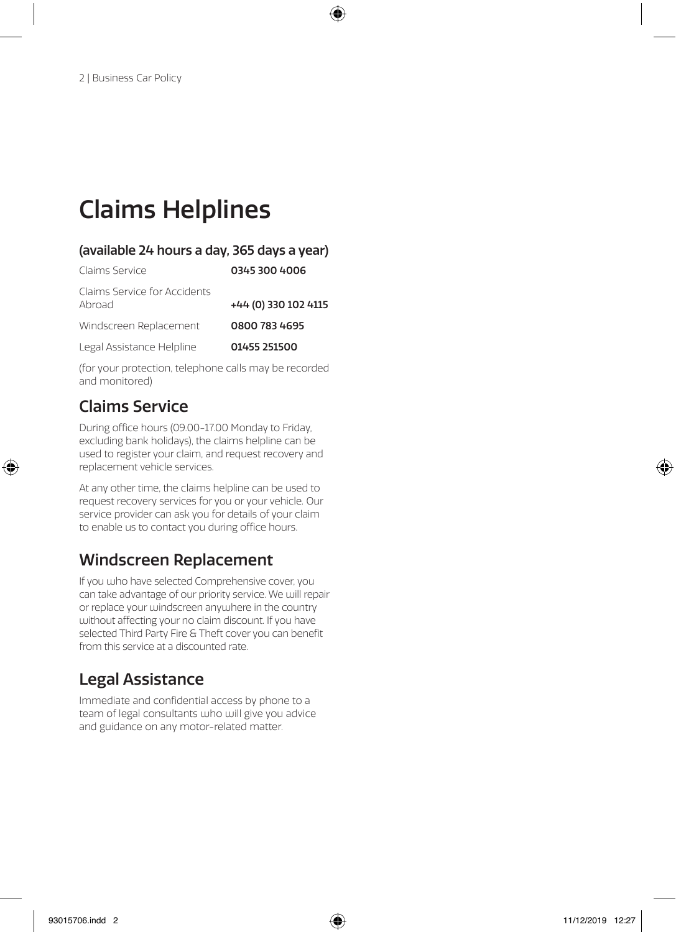## Claims Helplines

#### (available 24 hours a day, 365 days a year)

| Claims Service                         | 0345 300 4006        |
|----------------------------------------|----------------------|
| Claims Service for Accidents<br>Abroad | +44 (0) 330 102 4115 |
| Windscreen Replacement                 | 0800 783 4695        |
| Legal Assistance Helpline              | 01455 251500         |

(for your protection, telephone calls may be recorded and monitored)

## Claims Service

During office hours (09.00-17.00 Monday to Friday, excluding bank holidays), the claims helpline can be used to register your claim, and request recovery and replacement vehicle services.

At any other time, the claims helpline can be used to request recovery services for you or your vehicle. Our service provider can ask you for details of your claim to enable us to contact you during office hours.

## Windscreen Replacement

If you who have selected Comprehensive cover, you can take advantage of our priority service. We will repair or replace your windscreen anywhere in the country without affecting your no claim discount. If you have selected Third Party Fire & Theft cover you can benefit from this service at a discounted rate.

## Legal Assistance

Immediate and confidential access by phone to a team of legal consultants who will give you advice and guidance on any motor-related matter.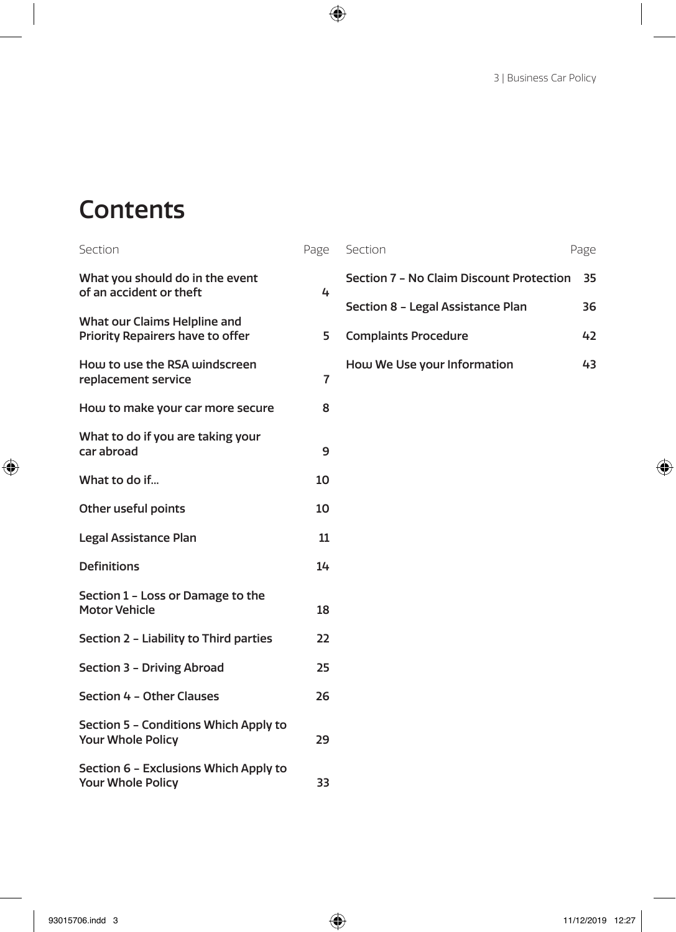## **Contents**

| Section                                                           | Page |
|-------------------------------------------------------------------|------|
| What you should do in the event<br>of an accident or theft        | 4    |
| What our Claims Helpline and<br>Priority Repairers have to offer  | 5    |
| How to use the RSA windscreen<br>replacement service              | 7    |
| How to make your car more secure                                  | 8    |
| What to do if you are taking your<br>car abroad                   | 9    |
| What to do if                                                     | 10   |
| Other useful points                                               | 10   |
| Legal Assistance Plan                                             | 11   |
| <b>Definitions</b>                                                | 14   |
| Section 1 - Loss or Damage to the<br><b>Motor Vehicle</b>         | 18   |
| Section 2 - Liability to Third parties                            | 22   |
| Section 3 - Driving Abroad                                        | 25   |
| Section 4 - Other Clauses                                         | 26   |
| Section 5 - Conditions Which Apply to<br>Your Whole Policy        | 29   |
| Section 6 - Exclusions Which Apply to<br><b>Your Whole Policy</b> | 33   |

| Section                                  | Page |
|------------------------------------------|------|
| Section 7 - No Claim Discount Protection | 35   |
| Section 8 - Legal Assistance Plan        | 36   |
| <b>Complaints Procedure</b>              | 47   |
| How We Use your Information              | 43   |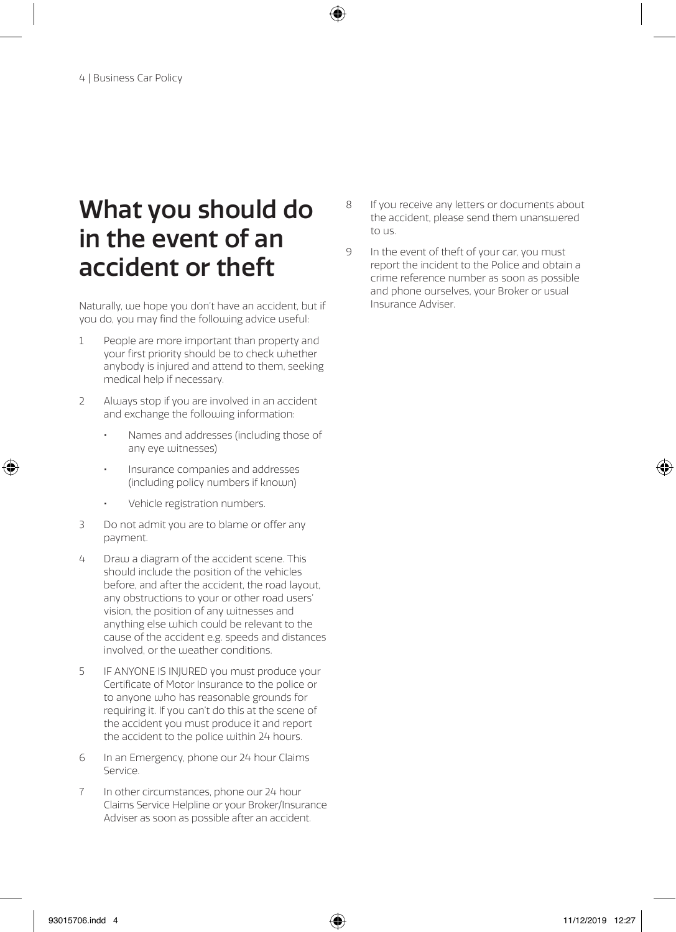## What you should do in the event of an accident or theft

Naturally, we hope you don't have an accident, but if you do, you may find the following advice useful:

- 1 People are more important than property and your first priority should be to check whether anybody is injured and attend to them, seeking medical help if necessary.
- 2 Always stop if you are involved in an accident and exchange the following information:
	- Names and addresses (including those of any eye witnesses)
	- Insurance companies and addresses (including policy numbers if known)
	- Vehicle registration numbers.
- 3 Do not admit you are to blame or offer any payment.
- 4 Draw a diagram of the accident scene. This should include the position of the vehicles before, and after the accident, the road layout, any obstructions to your or other road users' vision, the position of any witnesses and anything else which could be relevant to the cause of the accident e.g. speeds and distances involved, or the weather conditions.
- 5 IF ANYONE IS INJURED you must produce your Certificate of Motor Insurance to the police or to anyone who has reasonable grounds for requiring it. If you can't do this at the scene of the accident you must produce it and report the accident to the police within 24 hours.
- 6 In an Emergency, phone our 24 hour Claims Service.
- 7 In other circumstances, phone our 24 hour Claims Service Helpline or your Broker/Insurance Adviser as soon as possible after an accident.
- 8 If you receive any letters or documents about the accident, please send them unanswered to us.
- 9 In the event of theft of your car, you must report the incident to the Police and obtain a crime reference number as soon as possible and phone ourselves, your Broker or usual Insurance Adviser.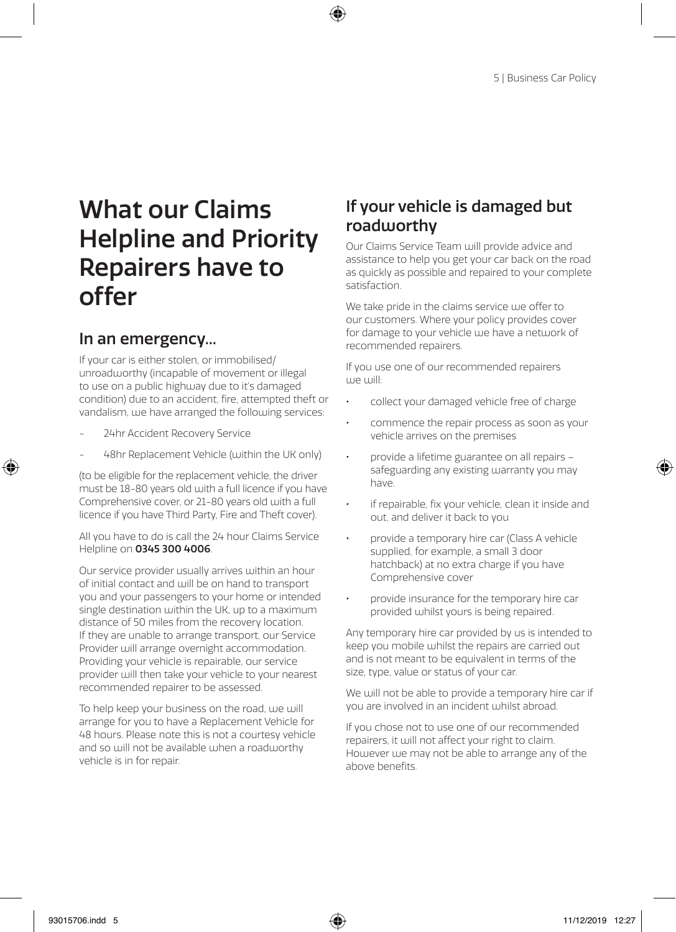## What our Claims Helpline and Priority Repairers have to offer

## In an emergency...

If your car is either stolen, or immobilised/ unroadworthy (incapable of movement or illegal to use on a public highway due to it's damaged condition) due to an accident, fire, attempted theft or vandalism, we have arranged the following services:

- 24hr Accident Recovery Service
- 48hr Replacement Vehicle (within the UK only)

(to be eligible for the replacement vehicle, the driver must be 18-80 years old with a full licence if you have Comprehensive cover, or 21-80 years old with a full licence if you have Third Party, Fire and Theft cover).

All you have to do is call the 24 hour Claims Service Helpline on 0345 300 4006.

Our service provider usually arrives within an hour of initial contact and will be on hand to transport you and your passengers to your home or intended single destination within the UK, up to a maximum distance of 50 miles from the recovery location. If they are unable to arrange transport, our Service Provider will arrange overnight accommodation. Providing your vehicle is repairable, our service provider will then take your vehicle to your nearest recommended repairer to be assessed.

To help keep your business on the road, we will arrange for you to have a Replacement Vehicle for 48 hours. Please note this is not a courtesy vehicle and so will not be available when a roadworthy vehicle is in for repair.

## If your vehicle is damaged but roadworthy

Our Claims Service Team will provide advice and assistance to help you get your car back on the road as quickly as possible and repaired to your complete satisfaction.

We take pride in the claims service we offer to our customers. Where your policy provides cover for damage to your vehicle use have a network of recommended repairers.

If you use one of our recommended repairers we will:

- collect your damaged vehicle free of charge
- commence the repair process as soon as your vehicle arrives on the premises
- provide a lifetime guarantee on all repairs safeguarding any existing warranty you may have.
- if repairable, fix your vehicle, clean it inside and out, and deliver it back to you
- provide a temporary hire car (Class A vehicle supplied, for example, a small 3 door hatchback) at no extra charge if you have Comprehensive cover
- provide insurance for the temporary hire car provided whilst yours is being repaired.

Any temporary hire car provided by us is intended to keep you mobile whilst the repairs are carried out and is not meant to be equivalent in terms of the size, type, value or status of your car.

We will not be able to provide a temporary hire car if you are involved in an incident whilst abroad.

If you chose not to use one of our recommended repairers, it will not affect your right to claim. However we may not be able to arrange any of the above benefits.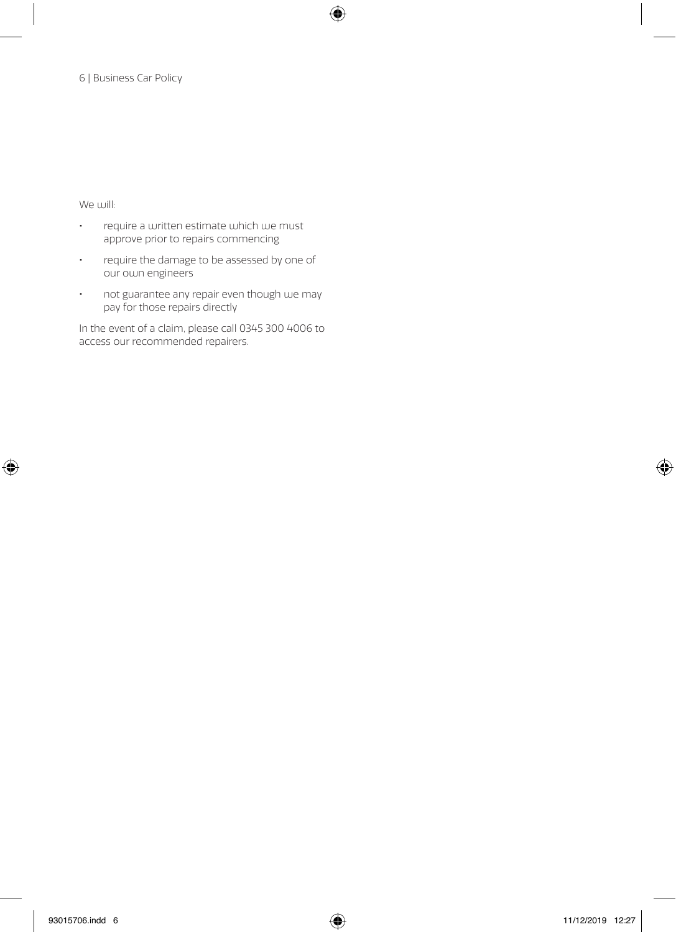We will:

- require a written estimate which we must approve prior to repairs commencing
- require the damage to be assessed by one of our own engineers
- not guarantee any repair even though we may pay for those repairs directly

In the event of a claim, please call 0345 300 4006 to access our recommended repairers.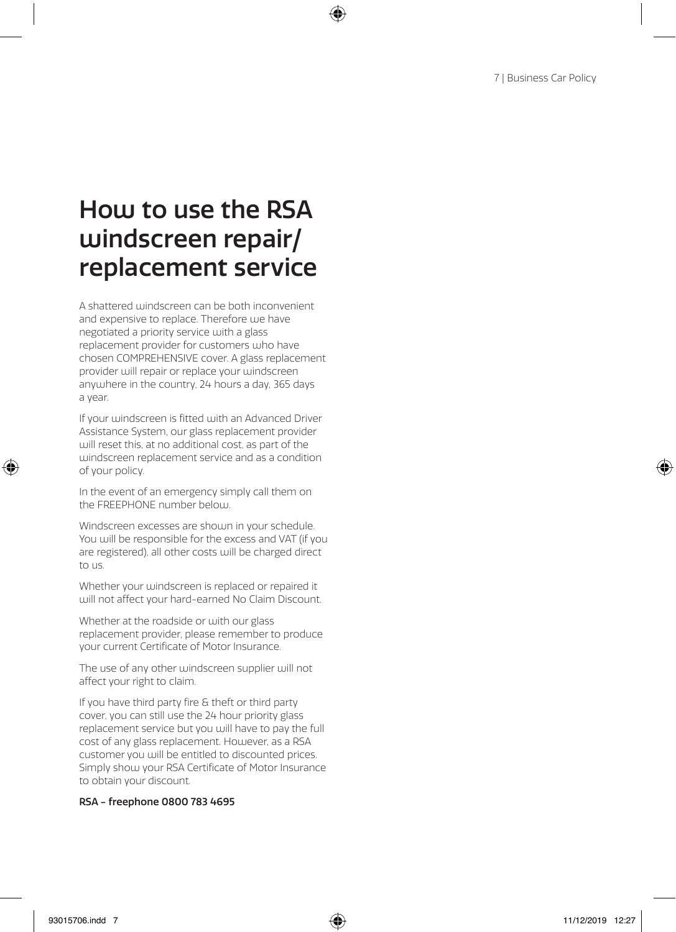## How to use the RSA windscreen repair/ replacement service

A shattered windscreen can be both inconvenient and expensive to replace. Therefore uje have negotiated a priority service with a glass replacement provider for customers who have chosen COMPREHENSIVE cover. A glass replacement provider will repair or replace your windscreen anywhere in the country, 24 hours a day, 365 days a year.

If your windscreen is fitted with an Advanced Driver Assistance System, our glass replacement provider will reset this, at no additional cost, as part of the windscreen replacement service and as a condition of your policy.

In the event of an emergency simply call them on the FREEPHONE number below.

Windscreen excesses are shown in your schedule. You will be responsible for the excess and VAT (if you are registered), all other costs will be charged direct to us.

Whether your windscreen is replaced or repaired it will not affect your hard-earned No Claim Discount.

Whether at the roadside or with our glass replacement provider, please remember to produce your current Certificate of Motor Insurance.

The use of any other windscreen supplier will not affect your right to claim.

If you have third party fire & theft or third party cover, you can still use the 24 hour priority glass replacement service but you will have to pay the full cost of any glass replacement. However, as a RSA customer you will be entitled to discounted prices. Simply show your RSA Certificate of Motor Insurance to obtain your discount.

#### RSA - freephone 0800 783 4695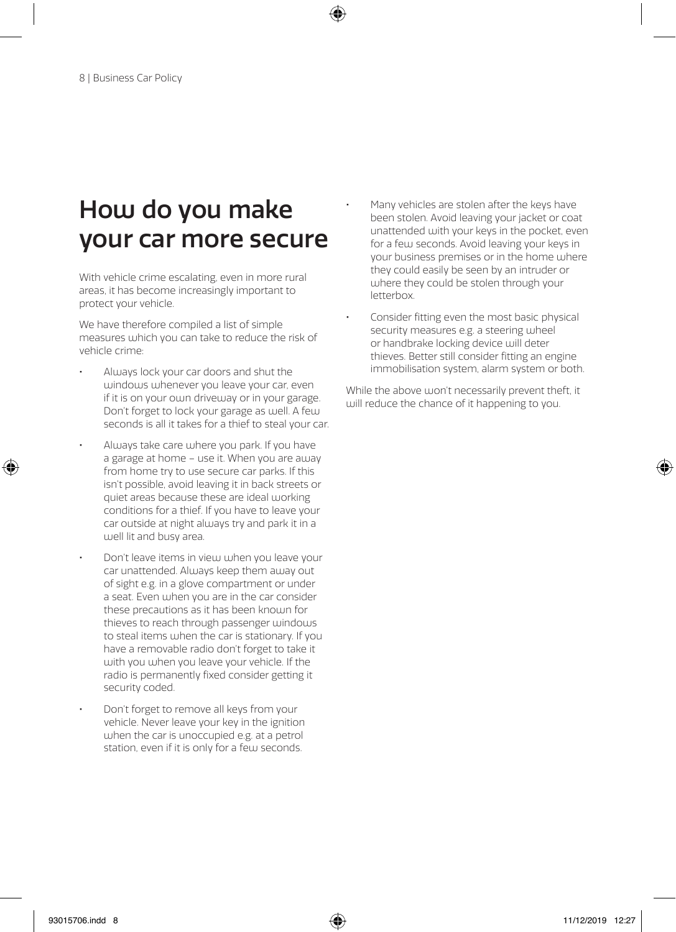## How do you make your car more secure

With vehicle crime escalating, even in more rural areas, it has become increasingly important to protect your vehicle.

We have therefore compiled a list of simple measures which you can take to reduce the risk of vehicle crime:

- Always lock your car doors and shut the windows whenever you leave your car, even if it is on your own driveway or in your garage. Don't forget to lock your garage as well. A few seconds is all it takes for a thief to steal your car.
- Always take care where you park. If you have a garage at home – use it. When you are away from home try to use secure car parks. If this isn't possible, avoid leaving it in back streets or quiet areas because these are ideal working conditions for a thief. If you have to leave your car outside at night always try and park it in a well lit and busy area.
- Don't leave items in view when you leave your car unattended. Always keep them away out of sight e.g. in a glove compartment or under a seat. Even when you are in the car consider these precautions as it has been known for thieves to reach through passenger windows to steal items when the car is stationary. If you have a removable radio don't forget to take it with you when you leave your vehicle. If the radio is permanently fixed consider getting it security coded.
- Don't forget to remove all keys from your vehicle. Never leave your key in the ignition when the car is unoccupied e.g. at a petrol station, even if it is only for a few seconds.
- Many vehicles are stolen after the keys have been stolen. Avoid leaving your jacket or coat unattended with your keys in the pocket, even for a few seconds. Avoid leaving your keys in your business premises or in the home where they could easily be seen by an intruder or where they could be stolen through your letterbox.
- Consider fitting even the most basic physical security measures e.g. a steering wheel or handbrake locking device will deter thieves. Better still consider fitting an engine immobilisation system, alarm system or both.

While the above won't necessarily prevent theft, it will reduce the chance of it happening to you.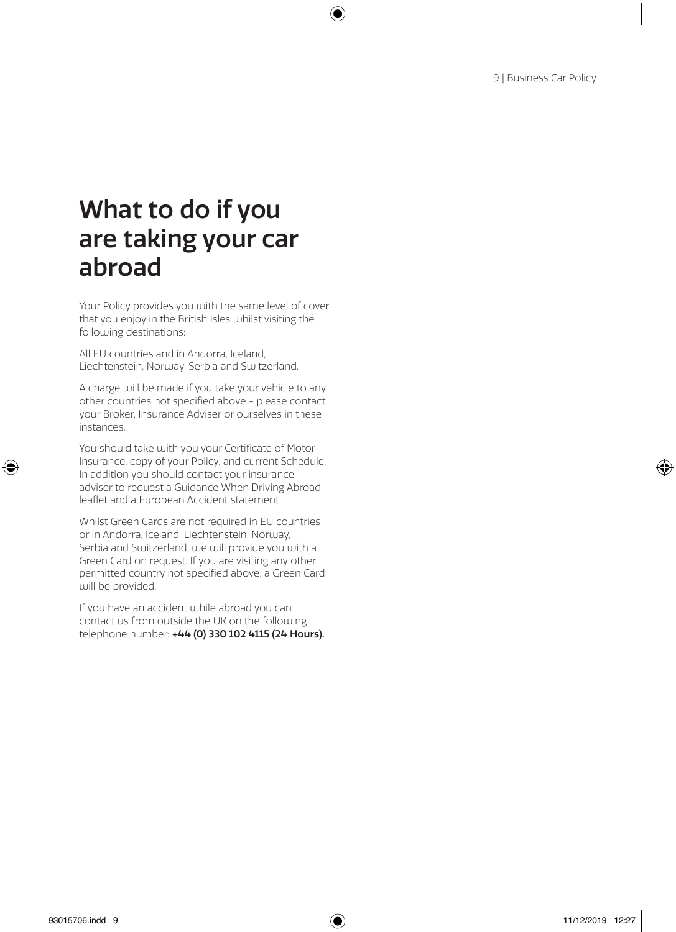## What to do if you are taking your car abroad

Your Policy provides you with the same level of cover that you enjoy in the British Isles whilst visiting the following destinations:

All EU countries and in Andorra, Iceland, Liechtenstein, Norway, Serbia and Switzerland.

A charge will be made if you take your vehicle to any other countries not specified above - please contact your Broker, Insurance Adviser or ourselves in these instances.

You should take with you your Certificate of Motor Insurance, copy of your Policy, and current Schedule. In addition you should contact your insurance adviser to request a Guidance When Driving Abroad leaflet and a European Accident statement.

Whilst Green Cards are not required in EU countries or in Andorra, Iceland, Liechtenstein, Norway, Serbia and Switzerland, we will provide you with a Green Card on request. If you are visiting any other permitted country not specified above, a Green Card will be provided.

If you have an accident while abroad you can contact us from outside the UK on the following telephone number: +44 (0) 330 102 4115 (24 Hours).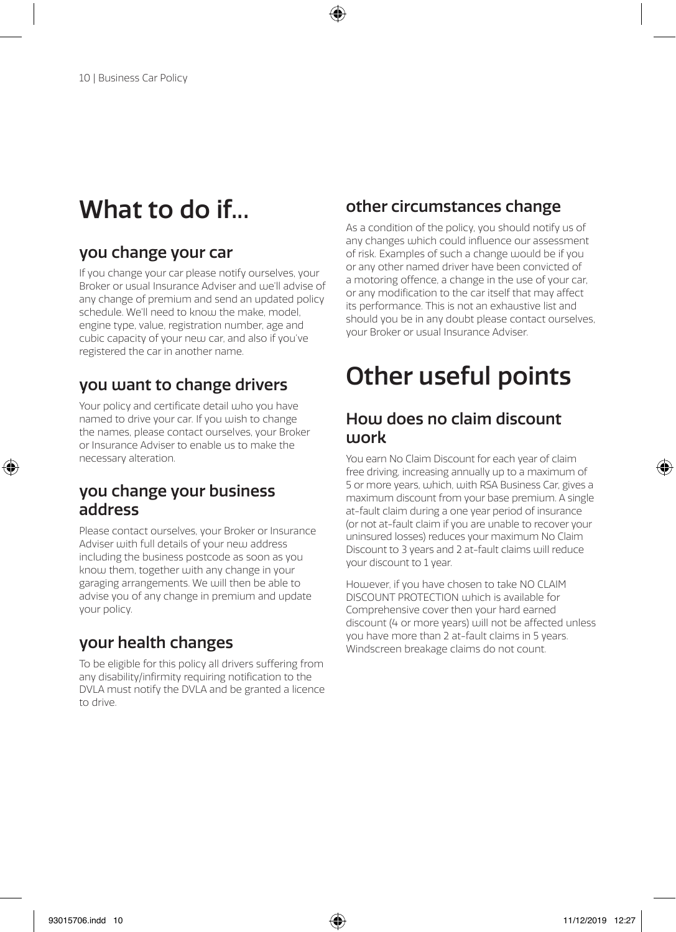## What to do if...

### you change your car

If you change your car please notify ourselves, your Broker or usual Insurance Adviser and we'll advise of any change of premium and send an updated policy schedule. We'll need to know the make, model, engine type, value, registration number, age and cubic capacity of your new car, and also if you've registered the car in another name.

### you want to change drivers

Your policy and certificate detail who you have named to drive your car. If you wish to change the names, please contact ourselves, your Broker or Insurance Adviser to enable us to make the necessary alteration.

### you change your business address

Please contact ourselves, your Broker or Insurance Adviser with full details of your new address including the business postcode as soon as you know them, together with any change in your garaging arrangements. We will then be able to advise you of any change in premium and update your policy.

## your health changes

To be eligible for this policy all drivers suffering from any disability/infirmity requiring notification to the DVLA must notify the DVLA and be granted a licence to drive.

## other circumstances change

As a condition of the policy, you should notify us of any changes which could influence our assessment of risk. Examples of such a change would be if you or any other named driver have been convicted of a motoring offence, a change in the use of your car, or any modification to the car itself that may affect its performance. This is not an exhaustive list and should you be in any doubt please contact ourselves, your Broker or usual Insurance Adviser.

## Other useful points

## How does no claim discount ujork

You earn No Claim Discount for each year of claim free driving, increasing annually up to a maximum of 5 or more years, which, with RSA Business Car, gives a maximum discount from your base premium. A single at-fault claim during a one year period of insurance (or not at-fault claim if you are unable to recover your uninsured losses) reduces your maximum No Claim Discount to 3 years and 2 at-fault claims will reduce your discount to 1 year.

However, if you have chosen to take NO CLAIM DISCOUNT PROTECTION which is available for Comprehensive cover then your hard earned discount (4 or more years) will not be affected unless you have more than 2 at-fault claims in 5 years. Windscreen breakage claims do not count.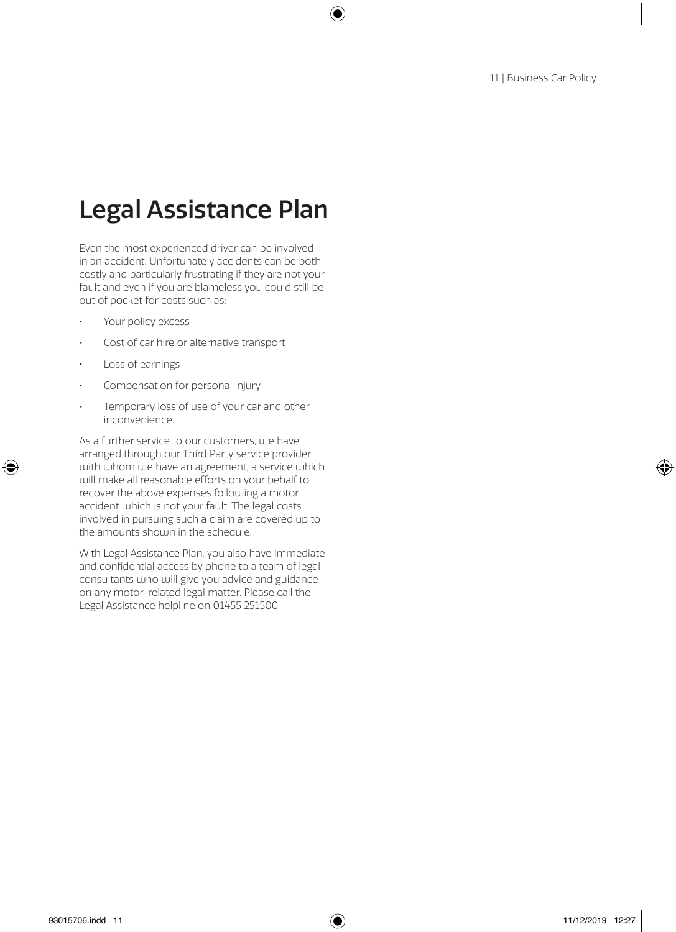## Legal Assistance Plan

Even the most experienced driver can be involved in an accident. Unfortunately accidents can be both costly and particularly frustrating if they are not your fault and even if you are blameless you could still be out of pocket for costs such as:

- Your policy excess
- Cost of car hire or alternative transport
- Loss of earnings
- Compensation for personal injury
- Temporary loss of use of your car and other inconvenience.

As a further service to our customers, we have arranged through our Third Party service provider with whom we have an agreement, a service which will make all reasonable efforts on your behalf to recover the above expenses following a motor accident which is not your fault. The legal costs involved in pursuing such a claim are covered up to the amounts shown in the schedule.

With Legal Assistance Plan, you also have immediate and confidential access by phone to a team of legal consultants who will give you advice and guidance on any motor-related legal matter. Please call the Legal Assistance helpline on 01455 251500.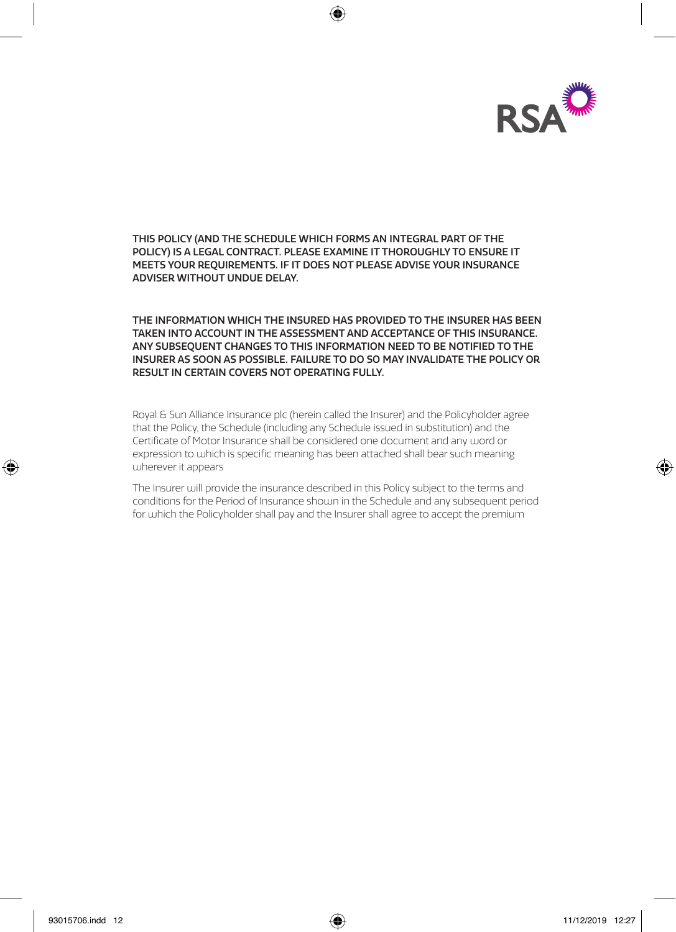

THIS POLICY (AND THE SCHEDULE WHICH FORMS AN INTEGRAL PART OF THE POLICY) IS A LEGAL CONTRACT. PLEASE EXAMINE IT THOROUGHLY TO ENSURE IT MEETS YOUR REQUIREMENTS. IF IT DOES NOT PLEASE ADVISE YOUR INSURANCE ADVISER WITHOUT UNDUE DELAY.

THE INFORMATION WHICH THE INSURED HAS PROVIDED TO THE INSURER HAS BEEN TAKEN INTO ACCOUNT IN THE ASSESSMENT AND ACCEPTANCE OF THIS INSURANCE. ANY SUBSEQUENT CHANGES TO THIS INFORMATION NEED TO BE NOTIFIED TO THE INSURER AS SOON AS POSSIBLE. FAILURE TO DO SO MAY INVALIDATE THE POLICY OR RESULT IN CERTAIN COVERS NOT OPERATING FULLY.

Royal & Sun Alliance Insurance plc (herein called the Insurer) and the Policyholder agree that the Policy, the Schedule (including any Schedule issued in substitution) and the Certificate of Motor Insurance shall be considered one document and any word or expression to which is specific meaning has been attached shall bear such meaning wherever it appears

The Insurer will provide the insurance described in this Policy subject to the terms and conditions for the Period of Insurance shown in the Schedule and any subsequent period for which the Policyholder shall pay and the Insurer shall agree to accept the premium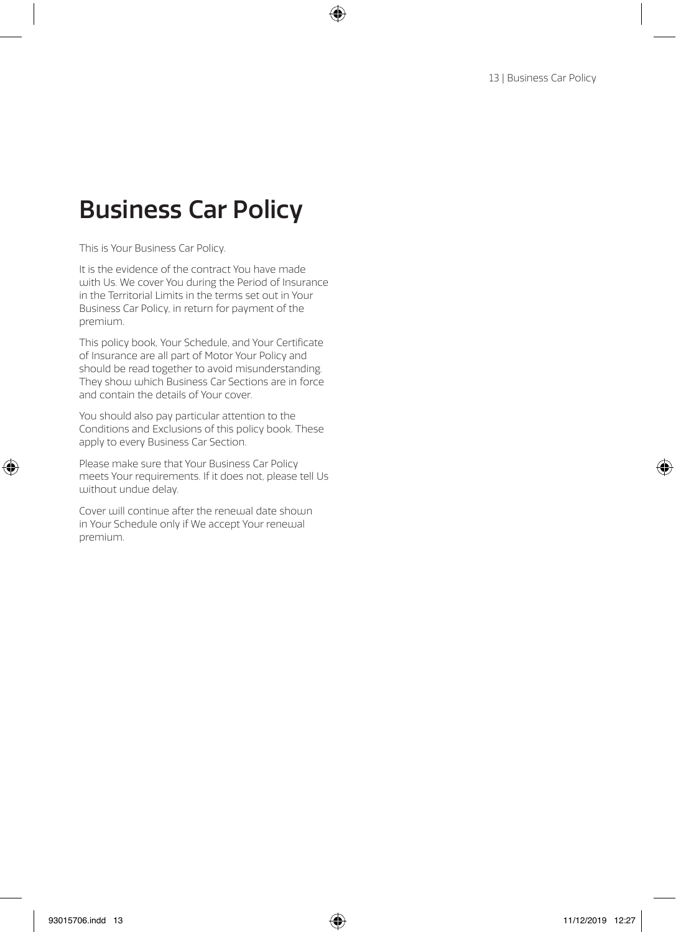## Business Car Policy

This is Your Business Car Policy.

It is the evidence of the contract You have made with Us. We cover You during the Period of Insurance in the Territorial Limits in the terms set out in Your Business Car Policy, in return for payment of the premium.

This policy book, Your Schedule, and Your Certificate of Insurance are all part of Motor Your Policy and should be read together to avoid misunderstanding. They show which Business Car Sections are in force and contain the details of Your cover.

You should also pay particular attention to the Conditions and Exclusions of this policy book. These apply to every Business Car Section.

Please make sure that Your Business Car Policy meets Your requirements. If it does not, please tell Us without undue delay.

Cover will continue after the renewal date shown in Your Schedule only if We accept Your renewal premium.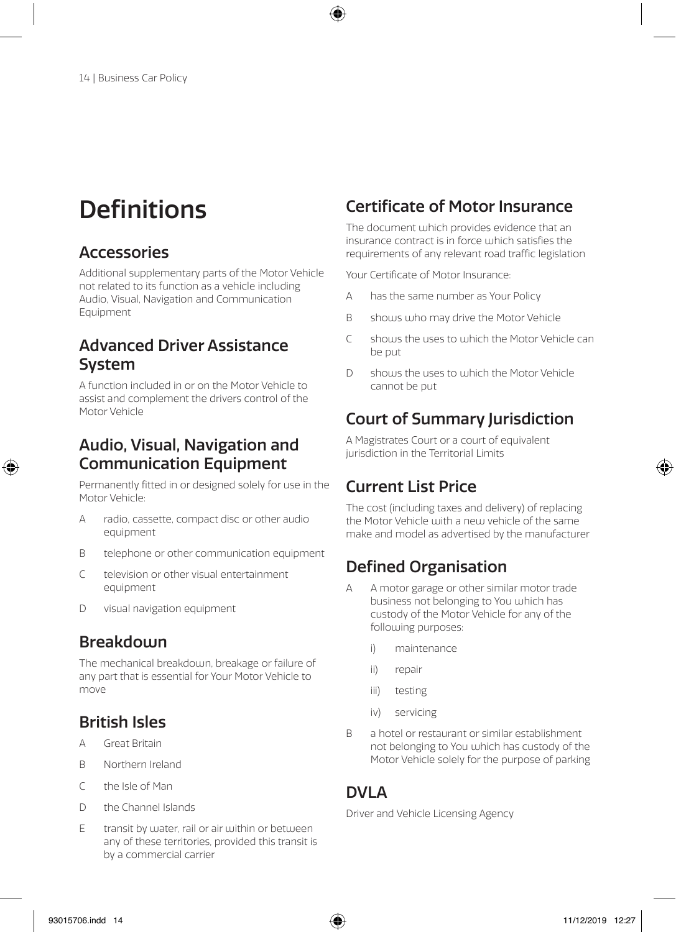## **Definitions**

## Accessories

Additional supplementary parts of the Motor Vehicle not related to its function as a vehicle including Audio, Visual, Navigation and Communication Equipment

## Advanced Driver Assistance System

A function included in or on the Motor Vehicle to assist and complement the drivers control of the Motor Vehicle

### Audio, Visual, Navigation and Communication Equipment

Permanently fitted in or designed solely for use in the Motor Vehicle:

- A radio, cassette, compact disc or other audio equipment
- B telephone or other communication equipment
- C television or other visual entertainment equipment
- D visual navigation equipment

## Breakdown

The mechanical breakdown, breakage or failure of any part that is essential for Your Motor Vehicle to move

## British Isles

- A Great Britain
- B Northern Ireland
- C the Isle of Man
- D the Channel Islands
- E transit by water, rail or air within or between any of these territories, provided this transit is by a commercial carrier

## Certificate of Motor Insurance

The document which provides evidence that an insurance contract is in force which satisfies the requirements of any relevant road traffic legislation

Your Certificate of Motor Insurance:

- A has the same number as Your Policy
- B shows who may drive the Motor Vehicle
- C shows the uses to which the Motor Vehicle can be put
- D shows the uses to which the Motor Vehicle cannot be put

## Court of Summary Jurisdiction

A Magistrates Court or a court of equivalent jurisdiction in the Territorial Limits

## Current List Price

The cost (including taxes and delivery) of replacing the Motor Vehicle with a new vehicle of the same make and model as advertised by the manufacturer

## Defined Organisation

- A A motor garage or other similar motor trade business not belonging to You which has custody of the Motor Vehicle for any of the following purposes:
	- i) maintenance
	- ii) repair
	- iii) testing
	- iv) servicing
- B a hotel or restaurant or similar establishment not belonging to You which has custody of the Motor Vehicle solely for the purpose of parking

### DVI A

Driver and Vehicle Licensing Agency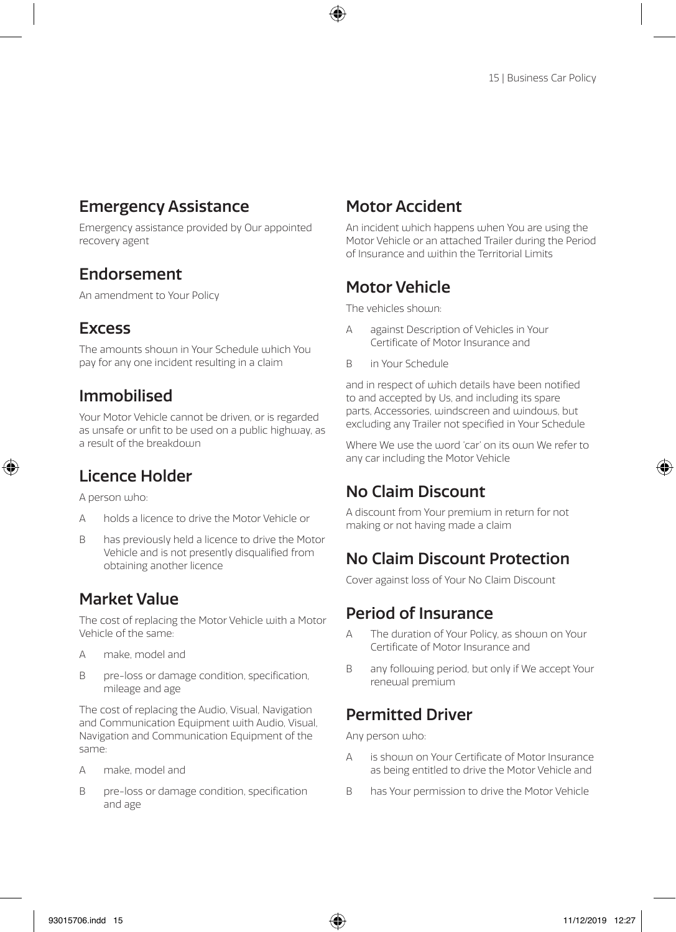### Emergency Assistance

Emergency assistance provided by Our appointed recovery agent

### Endorsement

An amendment to Your Policy

### **Excess**

The amounts shown in Your Schedule which You pay for any one incident resulting in a claim

## Immobilised

Your Motor Vehicle cannot be driven, or is regarded as unsafe or unfit to be used on a public highway, as a result of the breakdoun

## Licence Holder

A person who:

- A holds a licence to drive the Motor Vehicle or
- B has previously held a licence to drive the Motor Vehicle and is not presently disqualified from obtaining another licence

## Market Value

The cost of replacing the Motor Vehicle with a Motor Vehicle of the same:

- A make, model and
- B pre-loss or damage condition, specification, mileage and age

The cost of replacing the Audio, Visual, Navigation and Communication Equipment with Audio, Visual, Navigation and Communication Equipment of the same:

- A make, model and
- B pre-loss or damage condition, specification and age

## Motor Accident

An incident which happens when You are using the Motor Vehicle or an attached Trailer during the Period of Insurance and within the Territorial Limits

## Motor Vehicle

The vehicles shoum:

- A against Description of Vehicles in Your Certificate of Motor Insurance and
- B in Your Schedule

and in respect of which details have been notified to and accepted by Us, and including its spare parts, Accessories, windscreen and windows, but excluding any Trailer not specified in Your Schedule

Where We use the word 'car' on its own We refer to any car including the Motor Vehicle

## No Claim Discount

A discount from Your premium in return for not making or not having made a claim

## No Claim Discount Protection

Cover against loss of Your No Claim Discount

### Period of Insurance

- A The duration of Your Policy, as shown on Your Certificate of Motor Insurance and
- B any following period, but only if We accept Your renewal premium

## Permitted Driver

Any person who:

- A is shown on Your Certificate of Motor Insurance as being entitled to drive the Motor Vehicle and
- B has Your permission to drive the Motor Vehicle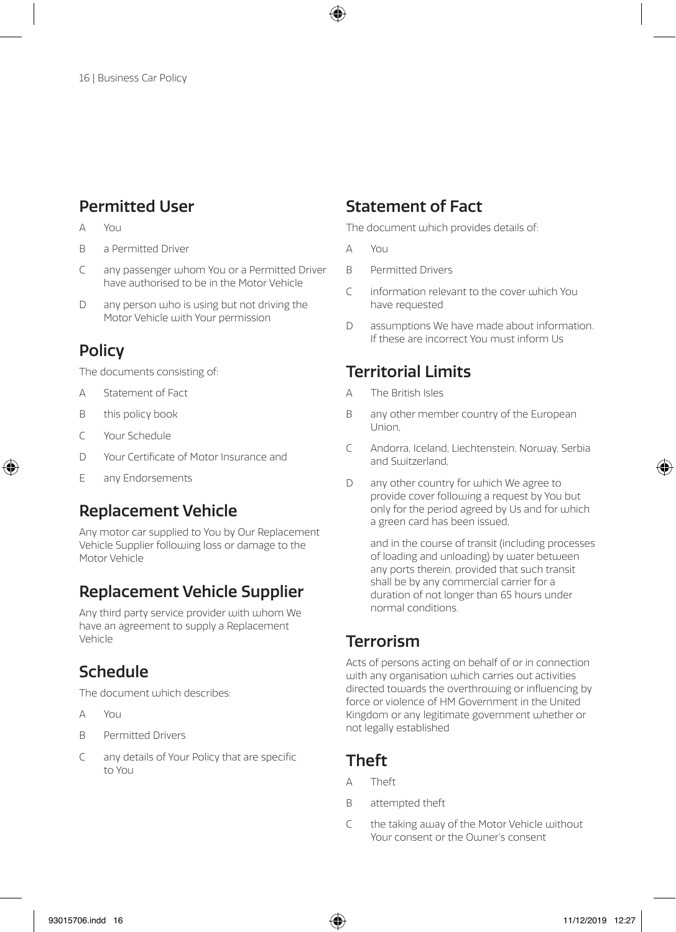## Permitted User

- $\Delta$  You
- B a Permitted Driver
- C any passenger whom You or a Permitted Driver have authorised to be in the Motor Vehicle
- D any person who is using but not driving the Motor Vehicle with Your permission

## **Policy**

The documents consisting of:

- A Statement of Fact
- B this policy book
- C Your Schedule
- D Your Certificate of Motor Insurance and
- E any Endorsements

### Replacement Vehicle

Any motor car supplied to You by Our Replacement Vehicle Supplier following loss or damage to the Motor Vehicle

## Replacement Vehicle Supplier

Any third party service provider with whom We have an agreement to supply a Replacement Vehicle

## Schedule

The document which describes:

- $\Delta$   $\sqrt{2}$
- B Permitted Drivers
- C any details of Your Policy that are specific to You

### Statement of Fact

The document which provides details of:

- A You
- B Permitted Drivers
- $C$  information relevant to the cover which You have requested
- D assumptions We have made about information. If these are incorrect You must inform Us

## Territorial Limits

- A The British Isles
- B any other member country of the European Union,
- C Andorra, Iceland, Liechtenstein, Norway, Serbia and Switzerland,
- D any other country for which We agree to provide cover following a request by You but only for the period agreed by Us and for which a green card has been issued,

and in the course of transit (including processes of loading and unloading) by water between any ports therein, provided that such transit shall be by any commercial carrier for a duration of not longer than 65 hours under normal conditions.

## Terrorism

Acts of persons acting on behalf of or in connection with any organisation which carries out activities directed towards the overthrowing or influencing by force or violence of HM Government in the United Kingdom or any legitimate government whether or not legally established

## Theft

- A Theft
- B attempted theft
- C the taking away of the Motor Vehicle without Your consent or the Ouner's consent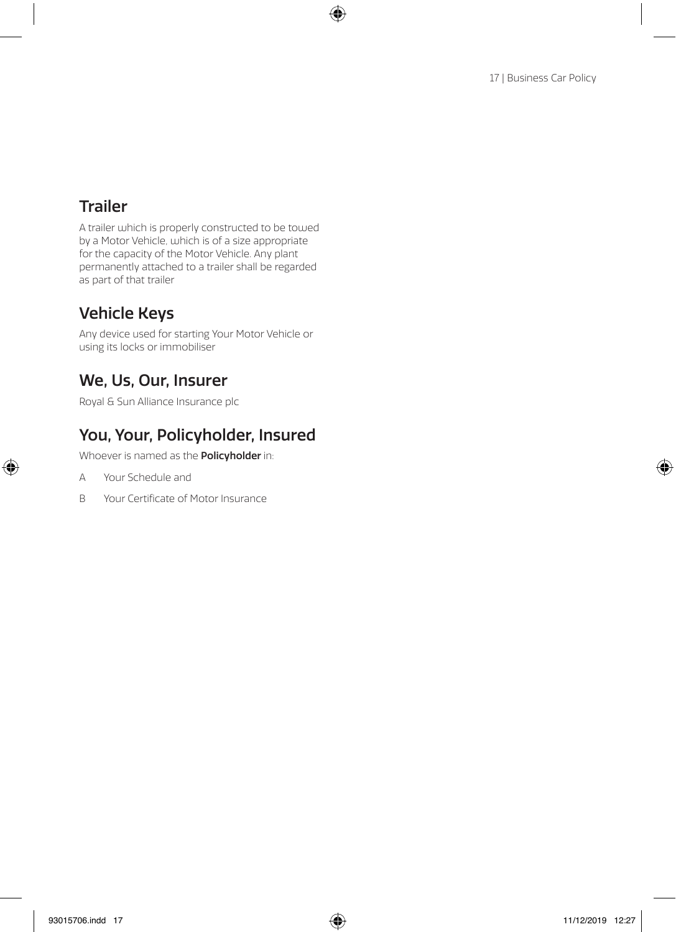## Trailer

A trailer which is properly constructed to be towed by a Motor Vehicle, which is of a size appropriate for the capacity of the Motor Vehicle. Any plant permanently attached to a trailer shall be regarded as part of that trailer

## Vehicle Keys

Any device used for starting Your Motor Vehicle or using its locks or immobiliser

## We, Us, Our, Insurer

Royal & Sun Alliance Insurance plc

## You, Your, Policyholder, Insured

Whoever is named as the **Policyholder** in:

- A Your Schedule and
- B Your Certificate of Motor Insurance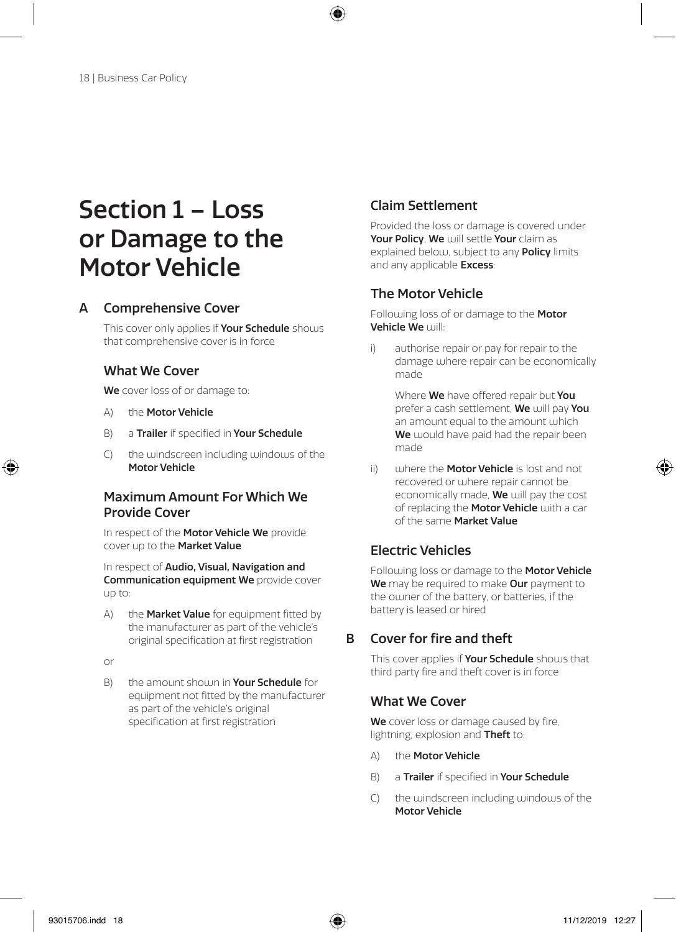## Section 1 – Loss or Damage to the Motor Vehicle

#### A Comprehensive Cover

This cover only applies if Your Schedule shows that comprehensive cover is in force

#### What We Cover

We cover loss of or damage to:

- A) the Motor Vehicle
- B) a Trailer if specified in Your Schedule
- C) the windscreen including windows of the Motor Vehicle

#### Maximum Amount For Which We Provide Cover

In respect of the Motor Vehicle We provide cover up to the Market Value

In respect of Audio, Visual, Navigation and Communication equipment We provide cover up to:

A) the **Market Value** for equipment fitted by the manufacturer as part of the vehicle's original specification at first registration

or

B) the amount should in Your Schedule for equipment not fitted by the manufacturer as part of the vehicle's original specification at first registration

#### Claim Settlement

Provided the loss or damage is covered under Your Policy, We will settle Your claim as explained below, subject to any **Policy** limits and any applicable Excess:

#### The Motor Vehicle

Following loss of or damage to the Motor Vehicle We will:

i) authorise repair or pay for repair to the damage where repair can be economically made

Where We have offered repair but You prefer a cash settlement. We will pay You an amount equal to the amount which We would have paid had the repair been made

ii) where the **Motor Vehicle** is lost and not recovered or where repair cannot be economically made, **We** will pay the cost of replacing the Motor Vehicle with a car of the same Market Value

#### Electric Vehicles

Following loss or damage to the Motor Vehicle We may be required to make Our payment to the owner of the battery, or batteries, if the battery is leased or hired

#### B Cover for fire and theft

This cover applies if **Your Schedule** shows that third party fire and theft cover is in force

#### What We Cover

We cover loss or damage caused by fire, lightning, explosion and Theft to:

- A) the Motor Vehicle
- B) a Trailer if specified in Your Schedule
- C) the windscreen including windows of the Motor Vehicle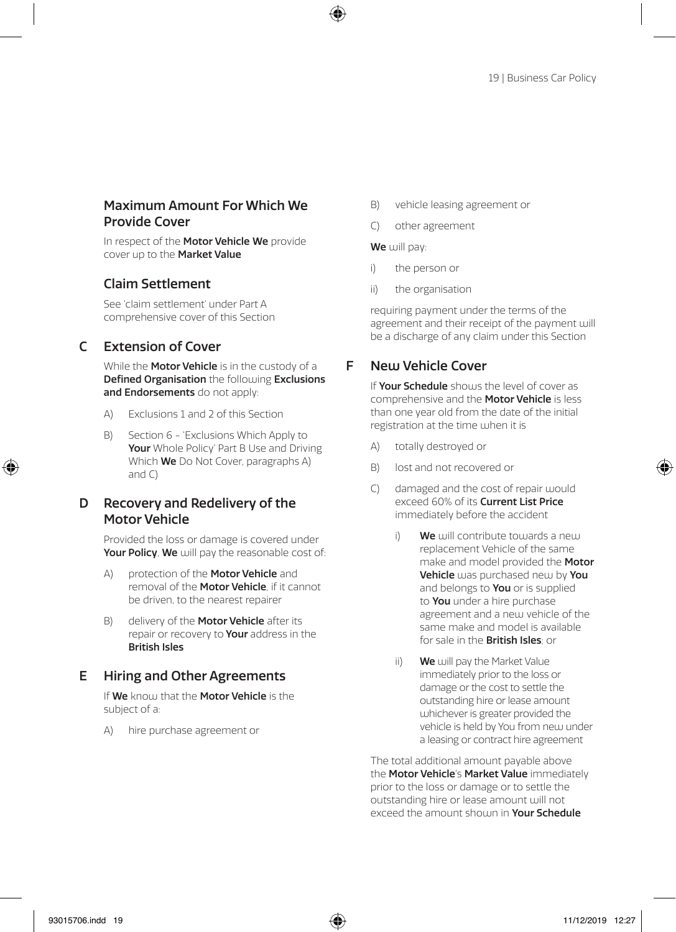#### Maximum Amount For Which We Provide Cover

In respect of the Motor Vehicle We provide cover up to the Market Value

#### Claim Settlement

See 'claim settlement' under Part A comprehensive cover of this Section

#### C Extension of Cover

While the **Motor Vehicle** is in the custody of a Defined Organisation the following Exclusions and Endorsements do not apply:

- A) Exclusions 1 and 2 of this Section
- B) Section 6 'Exclusions Which Apply to Your Whole Policy' Part B Use and Driving Which **We** Do Not Cover, paragraphs A) and C)

#### D Recovery and Redelivery of the Motor Vehicle

Provided the loss or damage is covered under Your Policy, We will pay the reasonable cost of:

- A) protection of the **Motor Vehicle** and removal of the **Motor Vehicle**, if it cannot be driven, to the nearest repairer
- B) delivery of the **Motor Vehicle** after its repair or recovery to Your address in the British Isles

#### E Hiring and Other Agreements

If We know that the Motor Vehicle is the subject of a:

A) hire purchase agreement or

- B) vehicle leasing agreement or
- C) other agreement

#### We will pay:

- i) the person or
- ii) the organisation

requiring payment under the terms of the agreement and their receipt of the payment will be a discharge of any claim under this Section

#### F New Vehicle Cover

If Your Schedule shouls the level of cover as comprehensive and the **Motor Vehicle** is less than one year old from the date of the initial registration at the time when it is

- A) totally destroyed or
- B) lost and not recovered or
- C) damaged and the cost of repair would exceed 60% of its **Current List Price** immediately before the accident
	- i)  $\mathbf{W}$ e will contribute towards a new replacement Vehicle of the same make and model provided the **Motor** Vehicle was purchased new by You and belongs to **You** or is supplied to You under a hire purchase agreement and a new vehicle of the same make and model is available for sale in the **British Isles**; or
	- ii) We will pay the Market Value immediately prior to the loss or damage or the cost to settle the outstanding hire or lease amount whichever is greater provided the vehicle is held by You from new under a leasing or contract hire agreement

The total additional amount payable above the **Motor Vehicle's Market Value** immediately prior to the loss or damage or to settle the outstanding hire or lease amount will not exceed the amount shouln in Your Schedule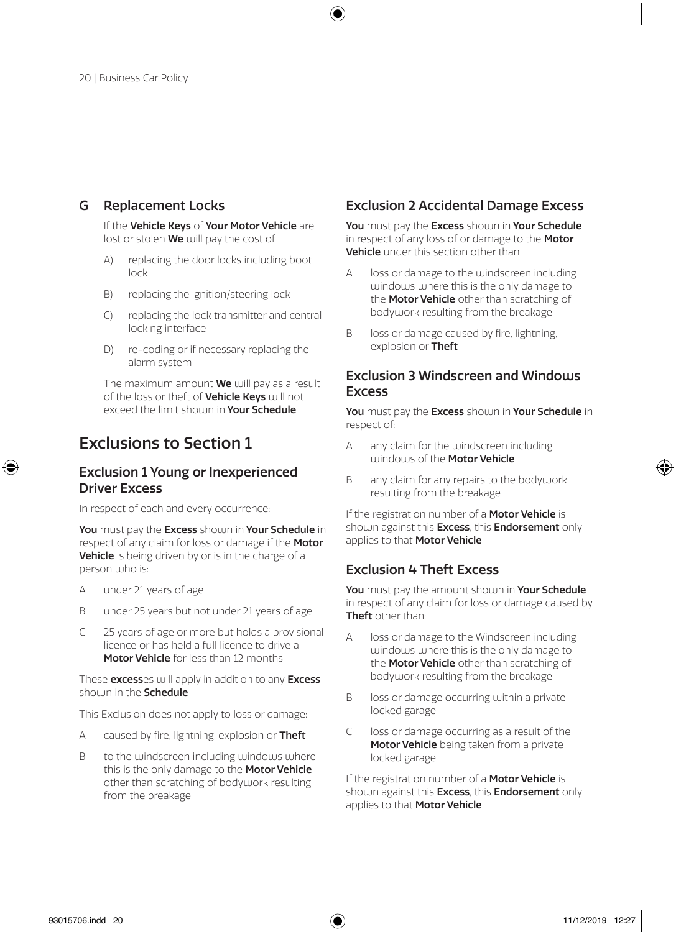#### G Replacement Locks

If the Vehicle Keys of Your Motor Vehicle are lost or stolen We will pay the cost of

- A) replacing the door locks including boot lock
- B) replacing the ignition/steering lock
- C) replacing the lock transmitter and central locking interface
- D) re-coding or if necessary replacing the alarm system

The maximum amount We will pay as a result of the loss or theft of **Vehicle Keys** will not exceed the limit shoum in Your Schedule

## Exclusions to Section 1

#### Exclusion 1 Young or Inexperienced Driver Excess

In respect of each and every occurrence:

You must pay the Excess shown in Your Schedule in respect of any claim for loss or damage if the Motor Vehicle is being driven by or is in the charge of a person who is:

- A under 21 years of age
- B under 25 years but not under 21 years of age
- C 25 years of age or more but holds a provisional licence or has held a full licence to drive a Motor Vehicle for less than 12 months

These excesses will apply in addition to any Excess shown in the **Schedule** 

This Exclusion does not apply to loss or damage:

- A caused by fire, lightning, explosion or Theft
- B to the windscreen including windows where this is the only damage to the Motor Vehicle other than scratching of bodywork resulting from the breakage

#### Exclusion 2 Accidental Damage Excess

You must pay the Excess shoum in Your Schedule in respect of any loss of or damage to the **Motor** Vehicle under this section other than:

- A loss or damage to the windscreen including windows where this is the only damage to the **Motor Vehicle** other than scratching of bodywork resulting from the breakage
- B loss or damage caused by fire, lightning, explosion or Theft

#### Exclusion 3 Windscreen and Windows Excess

You must pay the Excess shown in Your Schedule in respect of:

- A any claim for the windscreen including windows of the **Motor Vehicle**
- B any claim for any repairs to the bodywork resulting from the breakage

If the registration number of a **Motor Vehicle** is shown against this **Excess**, this **Endorsement** only applies to that Motor Vehicle

#### Exclusion 4 Theft Excess

You must pay the amount shown in Your Schedule in respect of any claim for loss or damage caused by Theft other than:

- A loss or damage to the Windscreen including windows where this is the only damage to the **Motor Vehicle** other than scratching of bodywork resulting from the breakage
- B loss or damage occurring within a private locked garage
- C loss or damage occurring as a result of the Motor Vehicle being taken from a private locked garage

If the registration number of a **Motor Vehicle** is shown against this **Excess**, this **Endorsement** only applies to that Motor Vehicle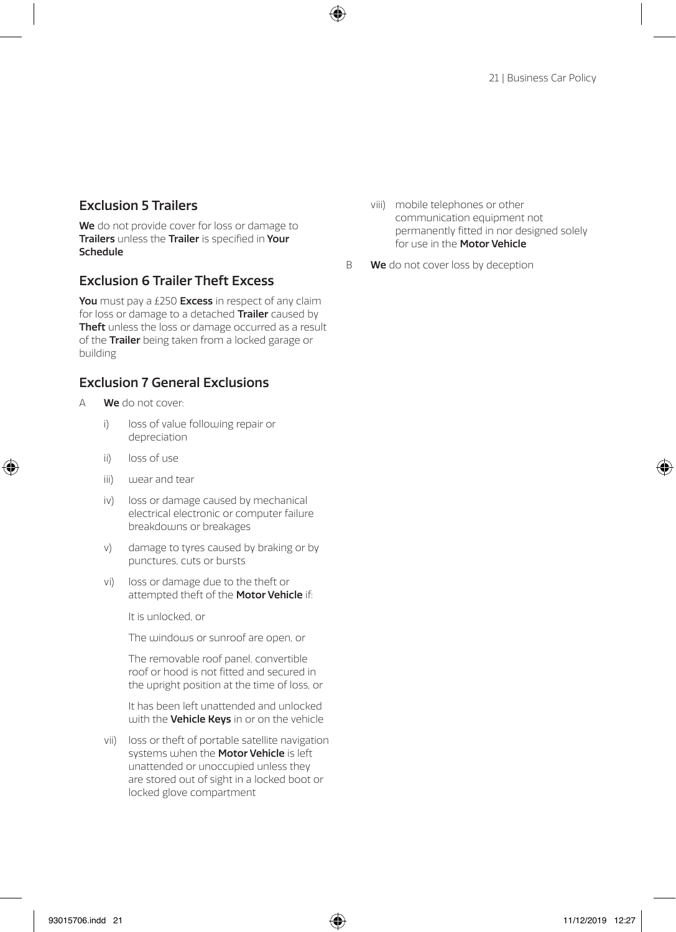#### Exclusion 5 Trailers

We do not provide cover for loss or damage to Trailers unless the Trailer is specified in Your Schedule

#### Exclusion 6 Trailer Theft Excess

You must pay a £250 Excess in respect of any claim for loss or damage to a detached Trailer caused by Theft unless the loss or damage occurred as a result of the Trailer being taken from a locked garage or building

#### Exclusion 7 General Exclusions

- A **We** do not cover:
	- i) loss of value following repair or depreciation
	- ii) loss of use
	- iii) wear and tear
	- iv) loss or damage caused by mechanical electrical electronic or computer failure breakdowns or breakages
	- v) damage to tyres caused by braking or by punctures, cuts or bursts
	- vi) loss or damage due to the theft or attempted theft of the Motor Vehicle if:

It is unlocked, or

The windows or sunroof are open, or

 The removable roof panel, convertible roof or hood is not fitted and secured in the upright position at the time of loss, or

 It has been left unattended and unlocked with the **Vehicle Keys** in or on the vehicle

vii) loss or theft of portable satellite navigation systems when the **Motor Vehicle** is left unattended or unoccupied unless they are stored out of sight in a locked boot or locked glove compartment

viii) mobile telephones or other communication equipment not permanently fitted in nor designed solely for use in the **Motor Vehicle** 

B We do not cover loss by deception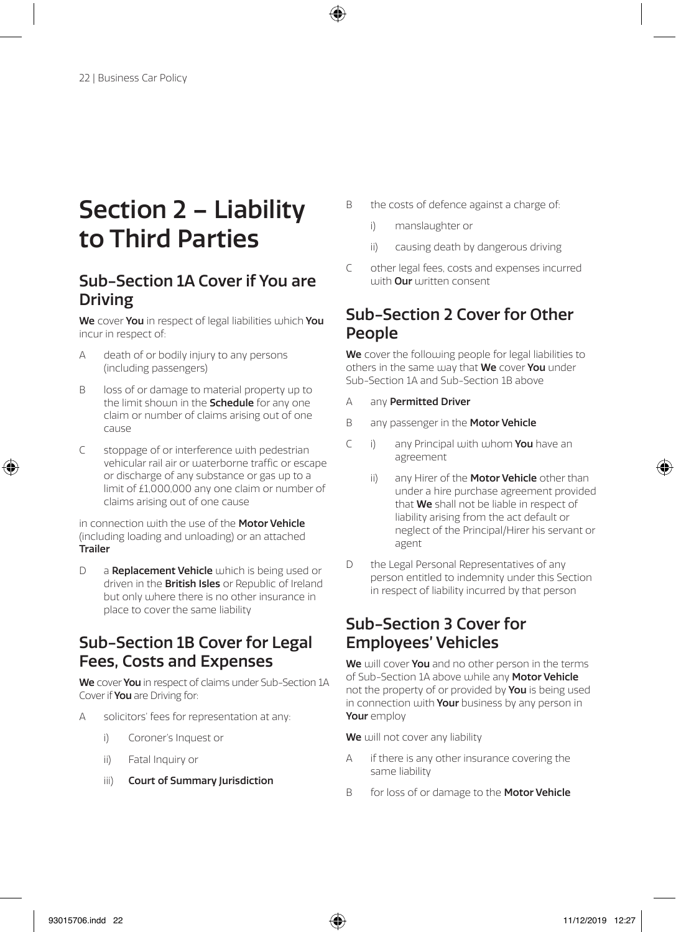## Section 2 – Liability to Third Parties

## Sub-Section 1A Cover if You are Driving

We cover You in respect of legal liabilities which You incur in respect of:

- A death of or bodily injury to any persons (including passengers)
- B loss of or damage to material property up to the limit shoum in the **Schedule** for any one claim or number of claims arising out of one cause
- C stoppage of or interference with pedestrian vehicular rail air or waterborne traffic or escape or discharge of any substance or gas up to a limit of £1,000,000 any one claim or number of claims arising out of one cause

in connection with the use of the Motor Vehicle (including loading and unloading) or an attached Trailer

D a Replacement Vehicle which is being used or driven in the **British Isles** or Republic of Ireland but only where there is no other insurance in place to cover the same liability

### Sub-Section 1B Cover for Legal Fees, Costs and Expenses

We cover You in respect of claims under Sub-Section 1A Cover if You are Driving for:

- A solicitors' fees for representation at any:
	- i) Coroner's Inquest or
	- ii) Fatal Inquiry or
	- iii) Court of Summary Jurisdiction
- B the costs of defence against a charge of:
	- i) manslaughter or
	- ii) causing death by dangerous driving
- C other legal fees, costs and expenses incurred with **Our** written consent

### Sub-Section 2 Cover for Other People

We cover the following people for legal liabilities to others in the same way that We cover You under Sub-Section 1A and Sub-Section 1B above

- A any Permitted Driver
- B any passenger in the Motor Vehicle
- C i) any Principal with whom You have an agreement
	- ii) any Hirer of the **Motor Vehicle** other than under a hire purchase agreement provided that **We** shall not be liable in respect of liability arising from the act default or neglect of the Principal/Hirer his servant or agent
- D the Legal Personal Representatives of any person entitled to indemnity under this Section in respect of liability incurred by that person

## Sub-Section 3 Cover for Employees' Vehicles

We will cover You and no other person in the terms of Sub-Section 1A above while any Motor Vehicle not the property of or provided by **You** is being used in connection with Your business by any person in Your employ

We will not cover any liability

- A if there is any other insurance covering the same liability
- B for loss of or damage to the Motor Vehicle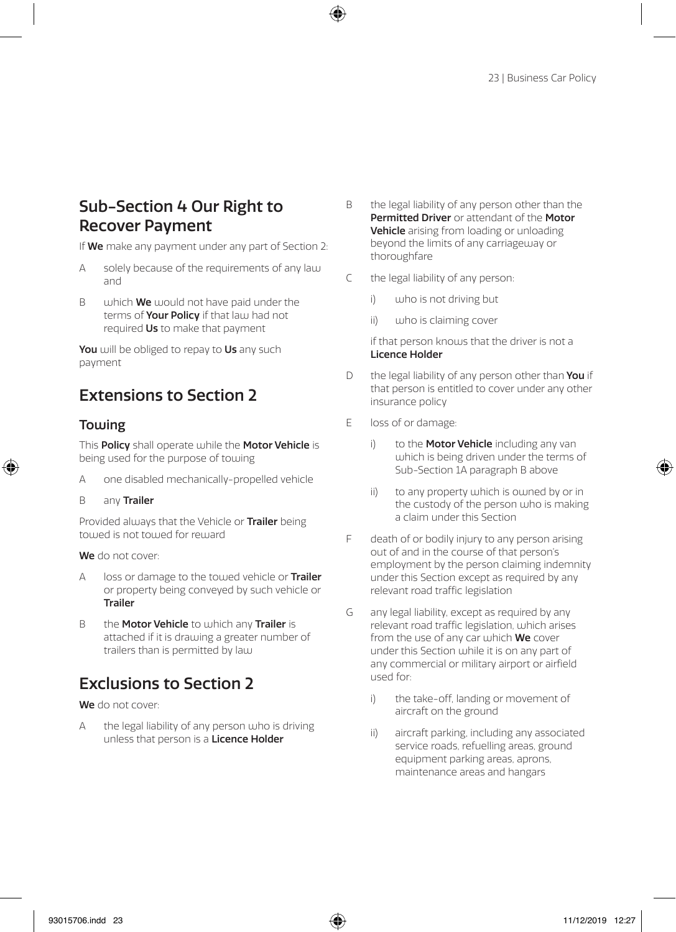### Sub-Section 4 Our Right to Recover Payment

If We make any payment under any part of Section 2:

- A solely because of the requirements of any law and
- $B =$  which **We** would not have paid under the terms of **Your Policy** if that law had not required Us to make that payment

You will be obliged to repay to Us any such payment

## Extensions to Section 2

#### Towing

This Policy shall operate while the Motor Vehicle is being used for the purpose of towing

- A one disabled mechanically-propelled vehicle
- B any Trailer

Provided always that the Vehicle or Trailer being towed is not towed for reward

We do not cover:

- A loss or damage to the towed vehicle or **Trailer** or property being conveyed by such vehicle or Trailer
- B the Motor Vehicle to which any Trailer is attached if it is drawing a greater number of trailers than is permitted by law

## Exclusions to Section 2

We do not cover:

A the legal liability of any person who is driving unless that person is a Licence Holder

- B the legal liability of any person other than the Permitted Driver or attendant of the Motor Vehicle arising from loading or unloading beyond the limits of any carriageway or thoroughfare
- C the legal liability of any person:
	- i) who is not driving but
	- ii) who is claiming cover

 if that person knows that the driver is not a Licence Holder

- D the legal liability of any person other than You if that person is entitled to cover under any other insurance policy
- E loss of or damage:
	- i) to the **Motor Vehicle** including any van which is being driven under the terms of Sub-Section 1A paragraph B above
	- ii) to any property which is owned by or in the custody of the person who is making a claim under this Section
- F death of or bodily injury to any person arising out of and in the course of that person's employment by the person claiming indemnity under this Section except as required by any relevant road traffic legislation
- G any legal liability, except as required by any relevant road traffic legislation, which arises from the use of any car which We cover under this Section while it is on any part of any commercial or military airport or airfield used for:
	- i) the take-off, landing or movement of aircraft on the ground
	- ii) aircraft parking, including any associated service roads, refuelling areas, ground equipment parking areas, aprons, maintenance areas and hangars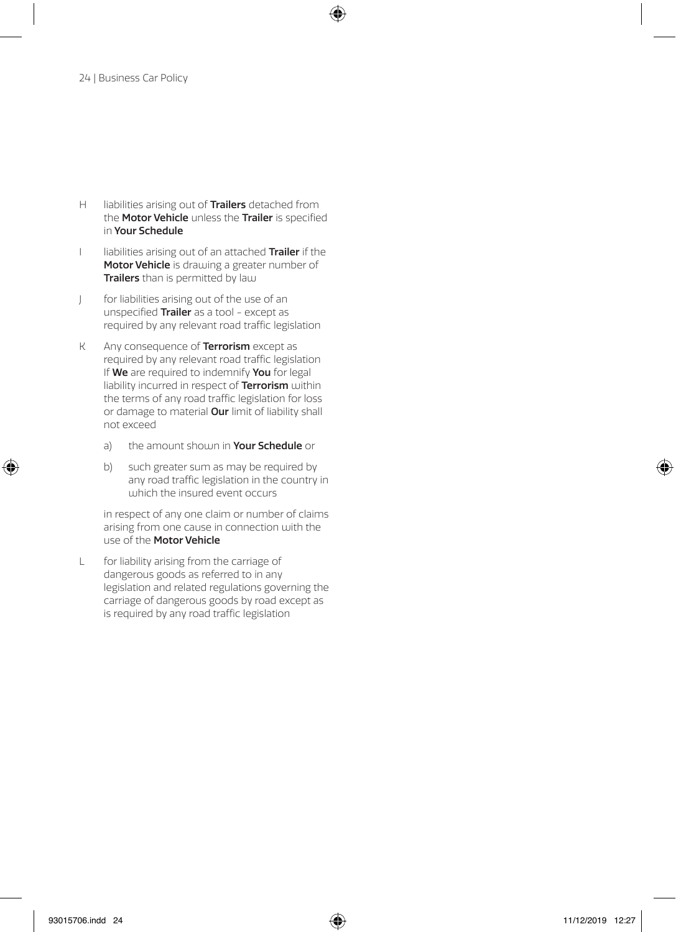- H liabilities arising out of Trailers detached from the **Motor Vehicle** unless the Trailer is specified in Your Schedule
- I liabilities arising out of an attached Trailer if the Motor Vehicle is drawing a greater number of Trailers than is permitted by law
- J for liabilities arising out of the use of an unspecified Trailer as a tool - except as required by any relevant road traffic legislation
- K Any consequence of **Terrorism** except as required by any relevant road traffic legislation If We are required to indemnify You for legal liability incurred in respect of Terrorism within the terms of any road traffic legislation for loss or damage to material Our limit of liability shall not exceed
	- a) the amount shown in Your Schedule or
	- b) such greater sum as may be required by any road traffic legislation in the country in which the insured event occurs

 in respect of any one claim or number of claims arising from one cause in connection with the use of the Motor Vehicle

L for liability arising from the carriage of dangerous goods as referred to in any legislation and related regulations governing the carriage of dangerous goods by road except as is required by any road traffic legislation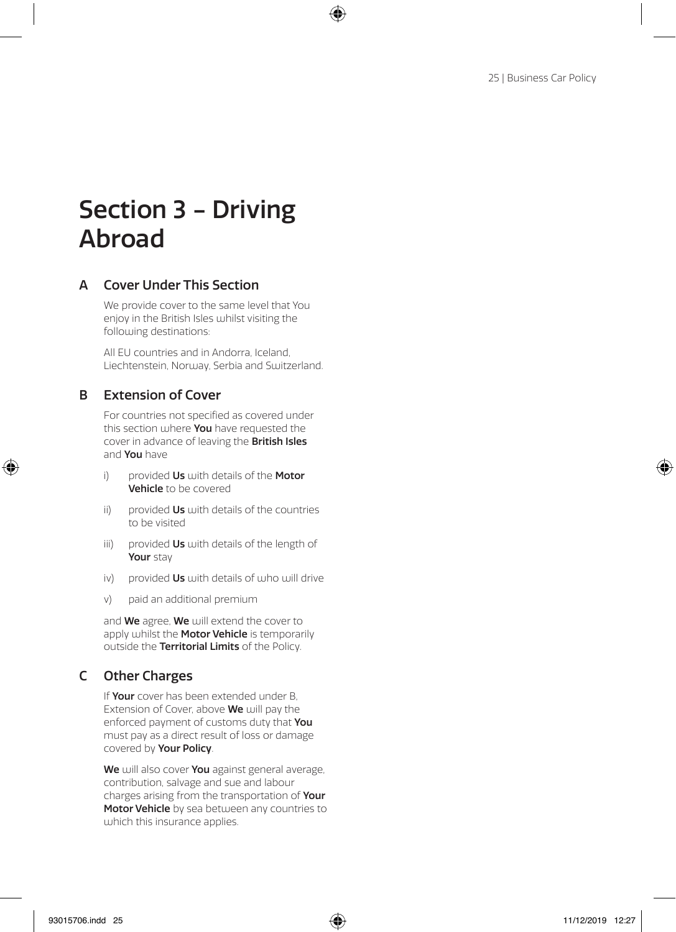## Section 3 - Driving Abroad

#### A Cover Under This Section

We provide cover to the same level that You enjoy in the British Isles whilst visiting the following destinations:

All EU countries and in Andorra, Iceland, Liechtenstein, Norway, Serbia and Switzerland.

#### B Extension of Cover

For countries not specified as covered under this section where You have requested the cover in advance of leaving the British Isles and You have

- i) provided  $Us$  with details of the Motor Vehicle to be covered
- ii) provided  $Us$  with details of the countries to be visited
- iii) provided Us with details of the length of Your stay
- iv) provided  $Us$  with details of who will drive
- v) paid an additional premium

and We agree, We will extend the cover to apply whilst the Motor Vehicle is temporarily outside the Territorial Limits of the Policy.

#### C Other Charges

If Your cover has been extended under B, Extension of Cover, above We will pay the enforced payment of customs duty that You must pay as a direct result of loss or damage covered by Your Policy.

We will also cover You against general average, contribution, salvage and sue and labour charges arising from the transportation of Your Motor Vehicle by sea between any countries to which this insurance applies.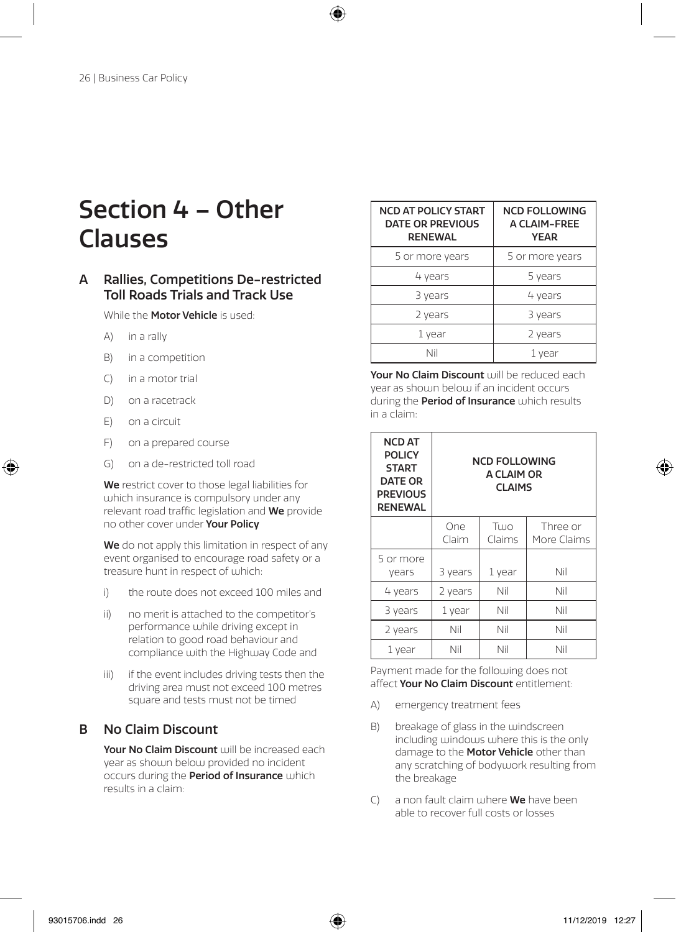## Section 4 – Other Clauses

#### A Rallies, Competitions De-restricted Toll Roads Trials and Track Use

While the **Motor Vehicle** is used:

- A) in a rally
- B) in a competition
- C) in a motor trial
- D) on a racetrack
- E) on a circuit
- F) on a prepared course
- G) on a de-restricted toll road

We restrict cover to those legal liabilities for which insurance is compulsory under any relevant road traffic legislation and We provide no other cover under Your Policy

We do not apply this limitation in respect of any event organised to encourage road safety or a treasure hunt in respect of which:

- i) the route does not exceed 100 miles and
- ii) no merit is attached to the competitor's performance while driving except in relation to good road behaviour and compliance with the Highway Code and
- iii) if the event includes driving tests then the driving area must not exceed 100 metres square and tests must not be timed

#### B No Claim Discount

Your No Claim Discount will be increased each year as shown below provided no incident occurs during the **Period of Insurance** which results in a claim:

| <b>NCD AT POLICY START</b><br><b>DATE OR PREVIOUS</b><br><b>RENEWAL</b> | <b>NCD FOLLOWING</b><br>A CLAIM-FREE<br><b>YEAR</b> |
|-------------------------------------------------------------------------|-----------------------------------------------------|
| 5 or more years                                                         | 5 or more years                                     |
| 4 years                                                                 | 5 years                                             |
| 3 years                                                                 | 4 years                                             |
| 2 years                                                                 | 3 years                                             |
| 1 year                                                                  | 2 years                                             |
| Nil                                                                     | 1 year                                              |

Your No Claim Discount will be reduced each year as shown below if an incident occurs during the **Period of Insurance** which results in a claim:

| NCD AT<br><b>POLICY</b><br><b>START</b><br><b>DATE OR</b><br><b>PREVIOUS</b><br><b>RENEWAL</b> | <b>NCD FOLLOWING</b><br>A CLAIM OR<br><b>CLAIMS</b> |                |                         |
|------------------------------------------------------------------------------------------------|-----------------------------------------------------|----------------|-------------------------|
|                                                                                                | One<br>Claim                                        | Тило<br>Claims | Three or<br>More Claims |
| 5 or more<br>vears                                                                             | 3 years                                             | 1 year         | Nil                     |
| 4 years                                                                                        | 2 years                                             | Nil            | Nil                     |
| 3 years                                                                                        | 1 year                                              | Nil            | Nil                     |
| 2 years                                                                                        | Nil                                                 | Nil            | Nil                     |
| 1 year                                                                                         | Nil                                                 | Nil            | Nil                     |

Payment made for the following does not affect Your No Claim Discount entitlement:

- A) emergency treatment fees
- B) breakage of glass in the windscreen including windows where this is the only damage to the **Motor Vehicle** other than any scratching of bodywork resulting from the breakage
- $(C)$  a non fault claim where **We** have been able to recover full costs or losses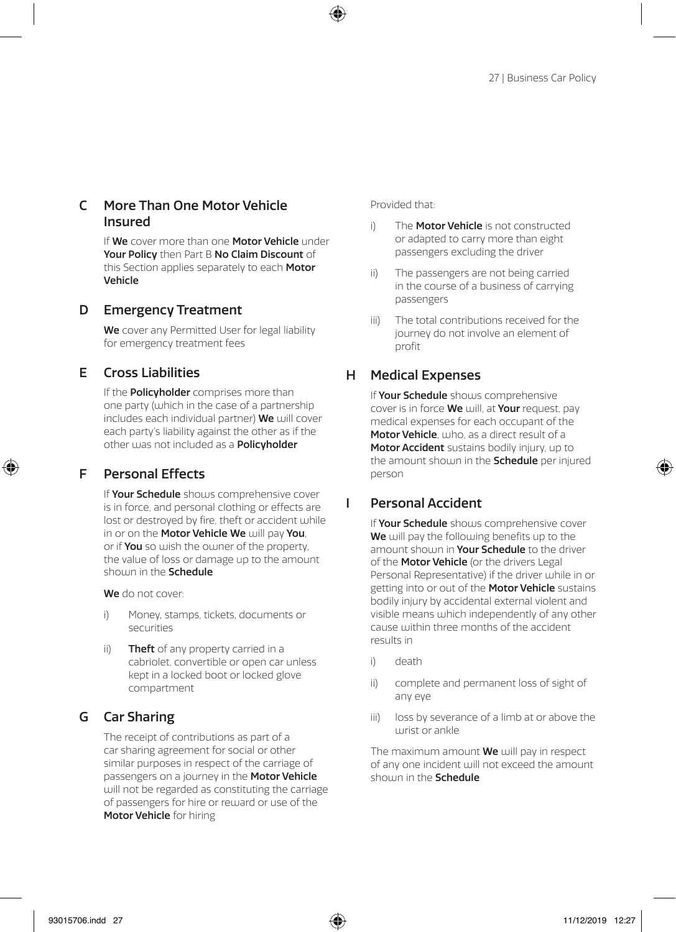#### C More Than One Motor Vehicle Insured

If We cover more than one Motor Vehicle under Your Policy then Part B No Claim Discount of this Section applies separately to each **Motor** Vehicle

#### D Emergency Treatment

We cover any Permitted User for legal liability for emergency treatment fees

#### E Cross Liabilities

If the **Policyholder** comprises more than one party (which in the case of a partnership includes each individual partner) We will cover each party's liability against the other as if the other was not included as a Policyholder

#### F Personal Effects

If Your Schedule shows comprehensive cover is in force, and personal clothing or effects are lost or destroyed by fire, theft or accident while in or on the Motor Vehicle We will pay You. or if You so wish the owner of the property, the value of loss or damage up to the amount shouln in the Schedule

We do not cover:

- i) Money, stamps, tickets, documents or securities
- ii) **Theft** of any property carried in a cabriolet, convertible or open car unless kept in a locked boot or locked glove compartment

#### G Car Sharing

The receipt of contributions as part of a car sharing agreement for social or other similar purposes in respect of the carriage of passengers on a journey in the Motor Vehicle will not be regarded as constituting the carriage of passengers for hire or reward or use of the Motor Vehicle for hiring

Provided that:

- i) The **Motor Vehicle** is not constructed or adapted to carry more than eight passengers excluding the driver
- ii) The passengers are not being carried in the course of a business of carrying passengers
- iii) The total contributions received for the journey do not involve an element of profit

#### H Medical Expenses

If Your Schedule shows comprehensive cover is in force We will, at Your request, pay medical expenses for each occupant of the Motor Vehicle, who, as a direct result of a Motor Accident sustains bodily injury, up to the amount shown in the **Schedule** per injured person

#### I Personal Accident

If Your Schedule shows comprehensive cover We will pay the following benefits up to the amount shown in Your Schedule to the driver of the Motor Vehicle (or the drivers Legal Personal Representative) if the driver while in or getting into or out of the Motor Vehicle sustains bodily injury by accidental external violent and visible means which independently of any other cause within three months of the accident results in

- i) death
- ii) complete and permanent loss of sight of any eye
- iii) loss by severance of a limb at or above the  $urist$  or ankle

The maximum amount **We** will pay in respect of any one incident will not exceed the amount shown in the Schedule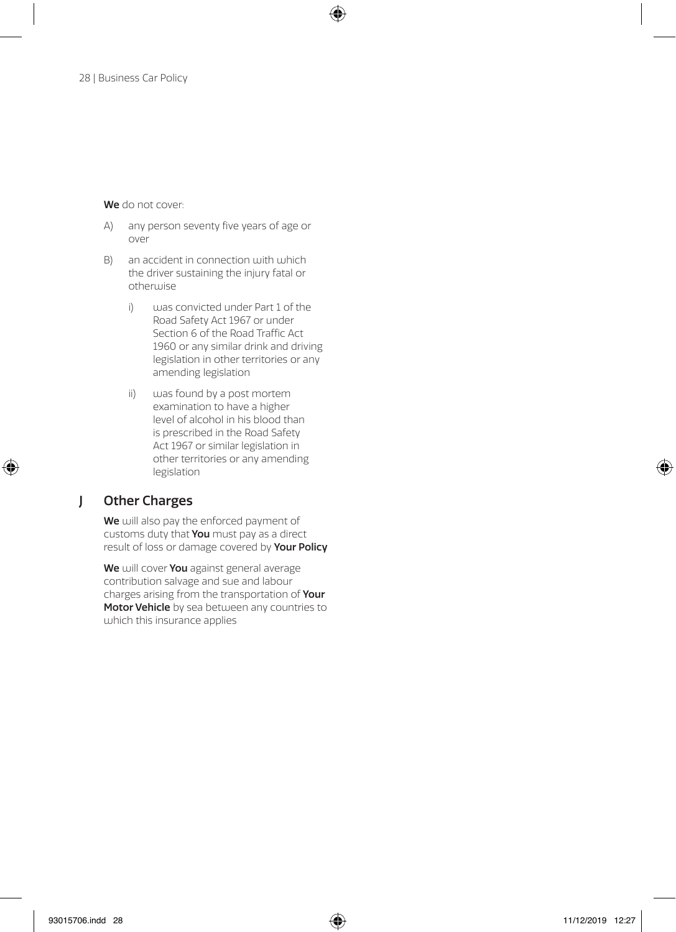We do not cover:

- A) any person seventy five years of age or over
- B) an accident in connection with which the driver sustaining the injury fatal or otherwise
	- i) was convicted under Part 1 of the Road Safety Act 1967 or under Section 6 of the Road Traffic Act 1960 or any similar drink and driving legislation in other territories or any amending legislation
	- ii) was found by a post mortem examination to have a higher level of alcohol in his blood than is prescribed in the Road Safety Act 1967 or similar legislation in other territories or any amending legislation

#### J Other Charges

We will also pay the enforced payment of customs duty that You must pay as a direct result of loss or damage covered by Your Policy

We will cover You against general average contribution salvage and sue and labour charges arising from the transportation of Your Motor Vehicle by sea between any countries to which this insurance applies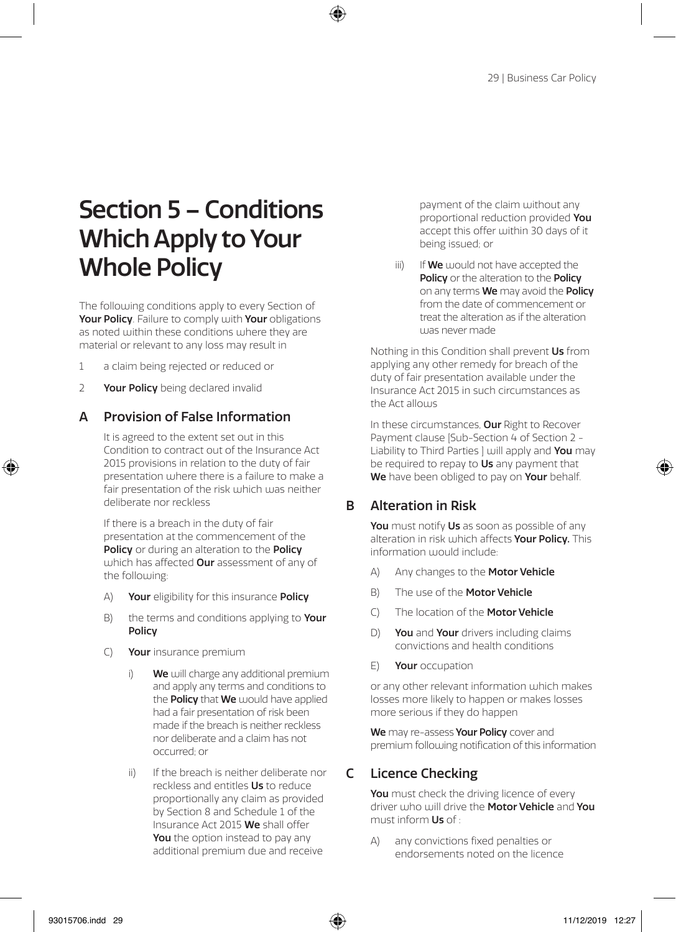## Section 5 – Conditions Which Apply to Your Whole Policy

The following conditions apply to every Section of Your Policy. Failure to comply with Your obligations as noted within these conditions where they are material or relevant to any loss may result in

- 1 a claim being rejected or reduced or
- 2 Your Policy being declared invalid

#### A Provision of False Information

It is agreed to the extent set out in this Condition to contract out of the Insurance Act 2015 provisions in relation to the duty of fair presentation where there is a failure to make a fair presentation of the risk which was neither deliberate nor reckless

If there is a breach in the duty of fair presentation at the commencement of the Policy or during an alteration to the Policy which has affected **Our** assessment of any of the following:

- A) Your eligibility for this insurance Policy
- B) the terms and conditions applying to Your Policy
- C) Your insurance premium
	- We will charge any additional premium and apply any terms and conditions to the **Policy** that We would have applied had a fair presentation of risk been made if the breach is neither reckless nor deliberate and a claim has not occurred; or
	- ii) If the breach is neither deliberate nor reckless and entitles Us to reduce proportionally any claim as provided by Section 8 and Schedule 1 of the Insurance Act 2015 We shall offer You the option instead to pay any additional premium due and receive

payment of the claim without any proportional reduction provided You accept this offer within 30 days of it being issued; or

 $\lim$  If We would not have accepted the Policy or the alteration to the Policy on any terms We may avoid the Policy from the date of commencement or treat the alteration as if the alteration was never made

Nothing in this Condition shall prevent Us from applying any other remedy for breach of the duty of fair presentation available under the Insurance Act 2015 in such circumstances as the Act allows

In these circumstances, Our Right to Recover Payment clause [Sub-Section 4 of Section 2 - Liability to Third Parties ] will apply and You may be required to repay to Us any payment that We have been obliged to pay on Your behalf.

#### B Alteration in Risk

You must notify Us as soon as possible of any alteration in risk which affects Your Policy. This information would include:

- A) Any changes to the **Motor Vehicle**
- B) The use of the **Motor Vehicle**
- C) The location of the Motor Vehicle
- D) You and Your drivers including claims convictions and health conditions
- E) Your occupation

or any other relevant information which makes losses more likely to happen or makes losses more serious if they do happen

We may re-assess Your Policy cover and premium following notification of this information

#### C Licence Checking

You must check the driving licence of every driver who will drive the Motor Vehicle and You must inform Us of :

A) any convictions fixed penalties or endorsements noted on the licence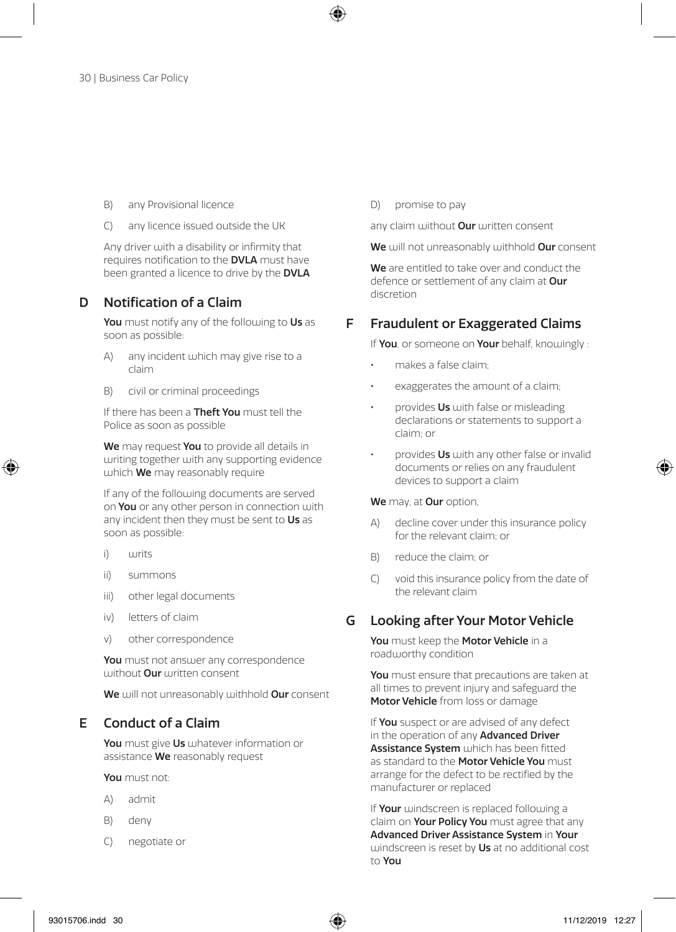- B) any Provisional licence
- C) any licence issued outside the UK

Any driver with a disability or infirmity that requires notification to the DVLA must have been granted a licence to drive by the DVLA

#### D Notification of a Claim

You must notify any of the following to Us as soon as possible:

- A) any incident which may give rise to a claim
- B) civil or criminal proceedings

If there has been a **Theft You** must tell the Police as soon as possible

We may request You to provide all details in writing together with any supporting evidence which **We** may reasonably require

If any of the following documents are served on You or any other person in connection with any incident then they must be sent to Us as soon as possible:

- i) writs
- ii) summons
- iii) other legal documents
- iv) letters of claim
- v) other correspondence

You must not answer any correspondence without **Our** written consent

We will not unreasonably withhold Our consent

#### E Conduct of a Claim

You must give Us whatever information or assistance We reasonably request

You must not:

- A) admit
- B) deny
- C) negotiate or

D) promise to pay

any claim without **Our** written consent

We will not unreasonably withhold Our consent

We are entitled to take over and conduct the defence or settlement of any claim at Our discretion

#### F Fraudulent or Exaggerated Claims

If You, or someone on Your behalf, knowingly :

- makes a false claim;
- exaggerates the amount of a claim;
- provides Us with false or misleading declarations or statements to support a claim; or
- provides Us with any other false or invalid documents or relies on any fraudulent devices to support a claim

#### We may, at Our option,

- A) decline cover under this insurance policy for the relevant claim; or
- B) reduce the claim; or
- C) void this insurance policy from the date of the relevant claim

#### G Looking after Your Motor Vehicle

You must keep the Motor Vehicle in a roadworthy condition

You must ensure that precautions are taken at all times to prevent injury and safeguard the Motor Vehicle from loss or damage

If You suspect or are advised of any defect in the operation of any **Advanced Driver Assistance System** which has been fitted as standard to the Motor Vehicle You must arrange for the defect to be rectified by the manufacturer or replaced

If Your windscreen is replaced following a claim on Your Policy You must agree that any Advanced Driver Assistance System in Your windscreen is reset by Us at no additional cost to You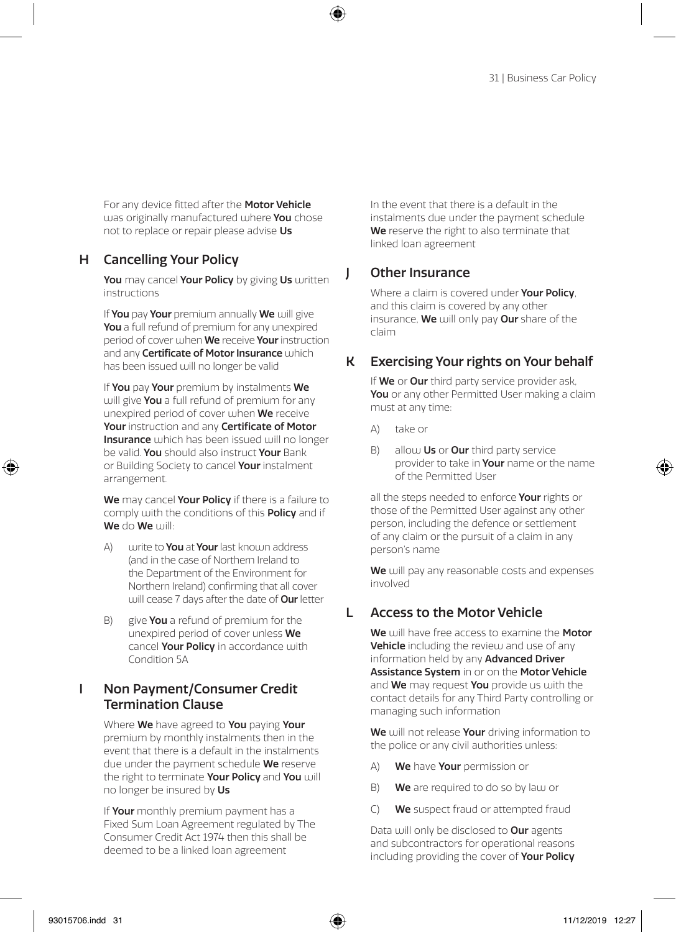For any device fitted after the **Motor Vehicle**  $max$  originally manufactured where You chose not to replace or repair please advise Us

#### H Cancelling Your Policy

You may cancel Your Policy by giving Us written instructions

If You pay Your premium annually We will give You a full refund of premium for any unexpired period of cover when We receive Your instruction and any **Certificate of Motor Insurance** which has been issued will no longer be valid

If You pay Your premium by instalments We will give You a full refund of premium for any unexpired period of cover when We receive Your instruction and any Certificate of Motor Insurance which has been issued will no longer be valid. You should also instruct Your Bank or Building Society to cancel Your instalment arrangement.

We may cancel Your Policy if there is a failure to comply with the conditions of this Policy and if We do We will

- A) write to **You** at **Your** last known address (and in the case of Northern Ireland to the Department of the Environment for Northern Ireland) confirming that all cover will cease 7 days after the date of Our letter
- B) give **You** a refund of premium for the unexpired period of cover unless We cancel Your Policy in accordance with Condition 5A

#### I Non Payment/Consumer Credit Termination Clause

Where We have agreed to You paying Your premium by monthly instalments then in the event that there is a default in the instalments due under the payment schedule We reserve the right to terminate Your Policy and You will no longer be insured by Us

If Your monthly premium payment has a Fixed Sum Loan Agreement regulated by The Consumer Credit Act 1974 then this shall be deemed to be a linked loan agreement

In the event that there is a default in the instalments due under the payment schedule We reserve the right to also terminate that linked loan agreement

#### J Other Insurance

Where a claim is covered under **Your Policy**. and this claim is covered by any other insurance, We will only pay Our share of the claim

#### K Exercising Your rights on Your behalf

If We or Our third party service provider ask. You or any other Permitted User making a claim must at any time:

- A) take or
- B) allow  $Us$  or Our third party service provider to take in **Your** name or the name of the Permitted User

all the steps needed to enforce Your rights or those of the Permitted User against any other person, including the defence or settlement of any claim or the pursuit of a claim in any person's name

We will pay any reasonable costs and expenses involved

#### L Access to the Motor Vehicle

We will have free access to examine the Motor Vehicle including the review and use of any information held by any **Advanced Driver** Assistance System in or on the Motor Vehicle and We may request You provide us with the contact details for any Third Party controlling or managing such information

We will not release Your driving information to the police or any civil authorities unless:

- A) We have Your permission or
- B) We are required to do so by law or
- C) We suspect fraud or attempted fraud

Data will only be disclosed to Our agents and subcontractors for operational reasons including providing the cover of **Your Policy**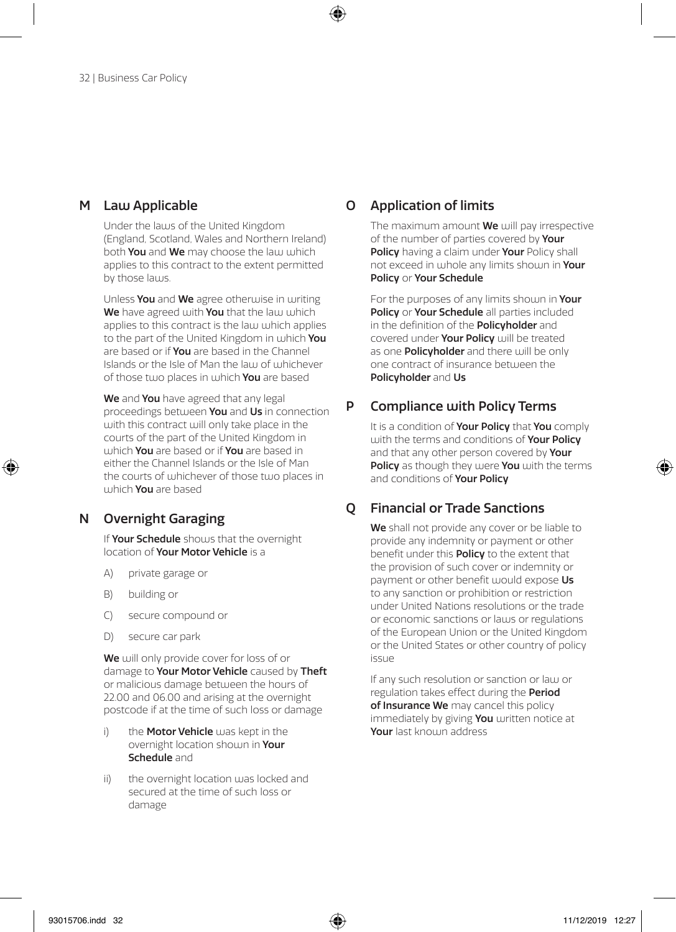#### M Law Applicable

Under the laws of the United Kingdom (England, Scotland, Wales and Northern Ireland) both You and We may choose the law which applies to this contract to the extent permitted by those laws.

Unless You and We agree otherwise in writing We have agreed with You that the law which applies to this contract is the law which applies to the part of the United Kingdom in which You are based or if **You** are based in the Channel Islands or the Isle of Man the law of whichever of those two places in which You are based

We and You have agreed that any legal proceedings between You and Us in connection with this contract will only take place in the courts of the part of the United Kingdom in which You are based or if You are based in either the Channel Islands or the Isle of Man the courts of whichever of those two places in which You are based

#### N Overnight Garaging

If Your Schedule shows that the overnight location of Your Motor Vehicle is a

- A) private garage or
- B) building or
- C) secure compound or
- D) secure car park

We will only provide cover for loss of or damage to Your Motor Vehicle caused by Theft or malicious damage between the hours of 22.00 and 06.00 and arising at the overnight postcode if at the time of such loss or damage

- i) the **Motor Vehicle** was kept in the overnight location shown in Your Schedule and
- ii) the overnight location was locked and secured at the time of such loss or damage

#### O Application of limits

The maximum amount **We** will pay irrespective of the number of parties covered by **Your** Policy having a claim under Your Policy shall not exceed in whole any limits shown in Your Policy or Your Schedule

For the purposes of any limits shown in Your Policy or Your Schedule all parties included in the definition of the **Policyholder** and covered under Your Policy will be treated as one **Policyholder** and there will be only one contract of insurance between the Policyholder and Us

#### P Compliance with Policy Terms

It is a condition of **Your Policy** that **You** comply with the terms and conditions of **Your Policy** and that any other person covered by Your Policy as though they were You with the terms and conditions of **Your Policy** 

#### Q Financial or Trade Sanctions

We shall not provide any cover or be liable to provide any indemnity or payment or other benefit under this **Policy** to the extent that the provision of such cover or indemnity or payment or other benefit would expose Us to any sanction or prohibition or restriction under United Nations resolutions or the trade or economic sanctions or laws or regulations of the European Union or the United Kingdom or the United States or other country of policy issue

If any such resolution or sanction or law or regulation takes effect during the Period of Insurance We may cancel this policy immediately by giving You written notice at Your last known address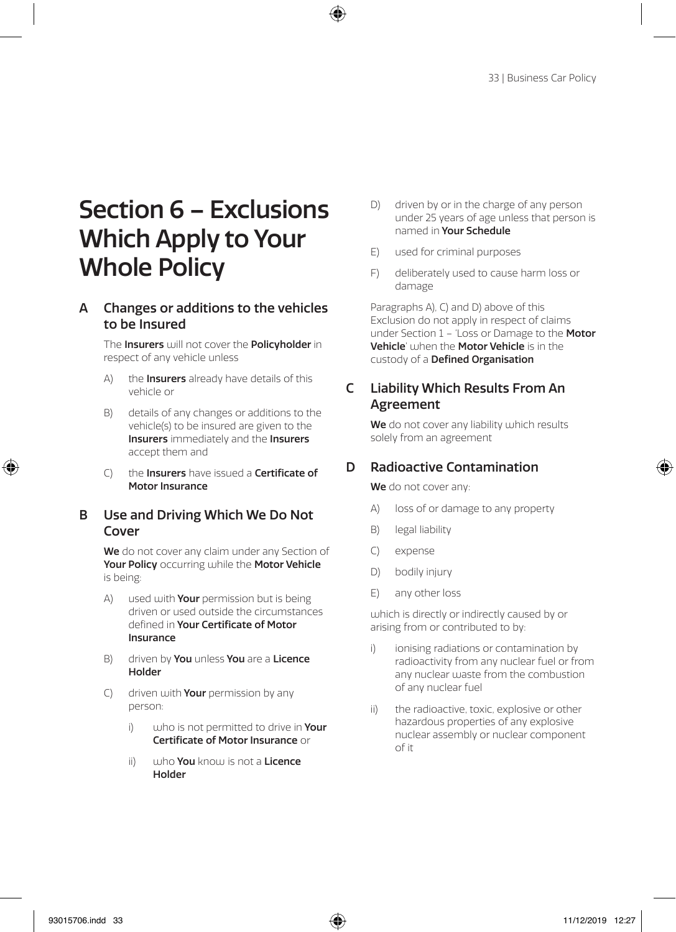## Section 6 – Exclusions Which Apply to Your Whole Policy

#### A Changes or additions to the vehicles to be Insured

The Insurers will not cover the Policyholder in respect of any vehicle unless

- A) the **Insurers** already have details of this vehicle or
- B) details of any changes or additions to the vehicle(s) to be insured are given to the Insurers immediately and the Insurers accept them and
- C) the Insurers have issued a Certificate of Motor Insurance

#### B Use and Driving Which We Do Not Cover

We do not cover any claim under any Section of Your Policy occurring while the Motor Vehicle is being:

- A) used with **Your** permission but is being driven or used outside the circumstances defined in Your Certificate of Motor Insurance
- B) driven by **You** unless **You** are a **Licence** Holder
- C) driven with **Your** permission by any person:
	- i) who is not permitted to drive in Your Certificate of Motor Insurance or
	- ii) who You know is not a Licence Holder
- D) driven by or in the charge of any person under 25 years of age unless that person is named in Your Schedule
- E) used for criminal purposes
- F) deliberately used to cause harm loss or damage

Paragraphs A), C) and D) above of this Exclusion do not apply in respect of claims under Section 1 – 'Loss or Damage to the Motor' Vehicle' when the Motor Vehicle is in the custody of a Defined Organisation

#### C Liability Which Results From An Agreement

We do not cover any liability which results solely from an agreement

#### D Radioactive Contamination

We do not cover any:

- A) loss of or damage to any property
- B) legal liability
- C) expense
- D) bodily injury
- E) any other loss

which is directly or indirectly caused by or arising from or contributed to by:

- ionising radiations or contamination by radioactivity from any nuclear fuel or from any nuclear waste from the combustion of any nuclear fuel
- ii) the radioactive, toxic, explosive or other hazardous properties of any explosive nuclear assembly or nuclear component of it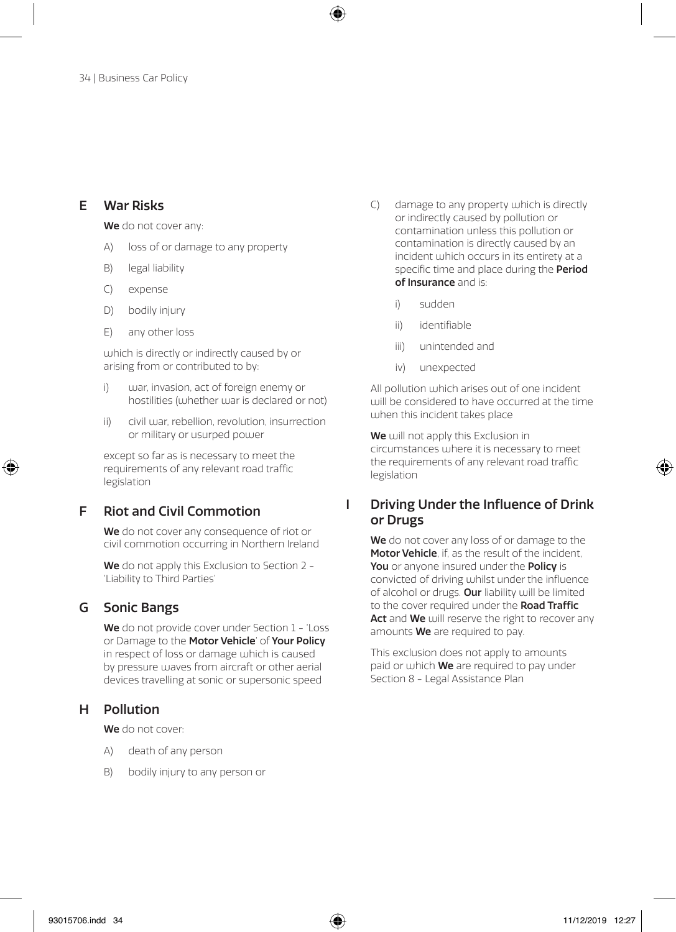#### E War Risks

We do not cover any:

- A) loss of or damage to any property
- B) legal liability
- C) expense
- D) bodily injury
- E) any other loss

which is directly or indirectly caused by or arising from or contributed to by:

- i) war, invasion, act of foreign enemy or hostilities (whether war is declared or not)
- ii) civil war, rebellion, revolution, insurrection or military or usurped power

except so far as is necessary to meet the requirements of any relevant road traffic legislation

#### F Riot and Civil Commotion

We do not cover any consequence of riot or civil commotion occurring in Northern Ireland

We do not apply this Exclusion to Section 2 -'Liability to Third Parties'

#### G Sonic Bangs

We do not provide cover under Section 1 - 'Loss' or Damage to the Motor Vehicle' of Your Policy in respect of loss or damage which is caused by pressure waves from aircraft or other aerial devices travelling at sonic or supersonic speed

#### H Pollution

We do not cover:

- A) death of any person
- B) bodily injury to any person or
- C) damage to any property which is directly or indirectly caused by pollution or contamination unless this pollution or contamination is directly caused by an incident which occurs in its entirety at a specific time and place during the **Period** of Insurance and is:
	- i) sudden
	- ii) identifiable
	- iii) unintended and
	- iv) unexpected

All pollution which arises out of one incident will be considered to have occurred at the time when this incident takes place

We will not apply this Exclusion in circumstances where it is necessary to meet the requirements of any relevant road traffic legislation

#### I Driving Under the Influence of Drink or Drugs

We do not cover any loss of or damage to the Motor Vehicle, if, as the result of the incident. You or anyone insured under the Policy is convicted of driving whilst under the influence of alcohol or drugs. Our liability will be limited to the cover required under the **Road Traffic** Act and We will reserve the right to recover any amounts **We** are required to pay.

This exclusion does not apply to amounts paid or which **We** are required to pay under Section 8 - Legal Assistance Plan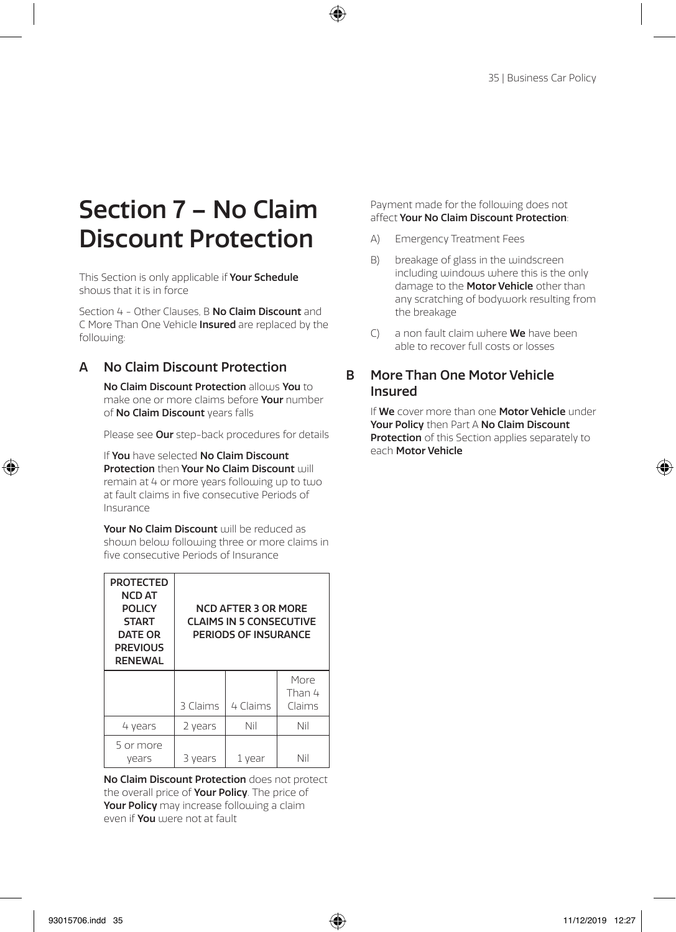## Section 7 – No Claim Discount Protection

This Section is only applicable if Your Schedule shows that it is in force

Section 4 - Other Clauses, B No Claim Discount and C More Than One Vehicle Insured are replaced by the following:

#### A No Claim Discount Protection

No Claim Discount Protection allows You to make one or more claims before **Your** number of No Claim Discount years falls

Please see Our step-back procedures for details

If You have selected No Claim Discount Protection then Your No Claim Discount will remain at 4 or more years following up to two at fault claims in five consecutive Periods of Insurance

Your No Claim Discount will be reduced as shown below following three or more claims in five consecutive Periods of Insurance

| <b>PROTECTED</b><br><b>NCD AT</b><br><b>POLICY</b><br><b>START</b><br>DATE OR<br><b>PREVIOUS</b><br><b>RENEWAL</b> | <b>NCD AFTER 3 OR MORE</b><br><b>CLAIMS IN 5 CONSECUTIVE</b><br>PERIODS OF INSURANCE |          |                          |
|--------------------------------------------------------------------------------------------------------------------|--------------------------------------------------------------------------------------|----------|--------------------------|
|                                                                                                                    | 3 Claims                                                                             | 4 Claims | More<br>Than 4<br>Claims |
| 4 years                                                                                                            | 2 years                                                                              | Nil      | Nil                      |
| 5 or more<br>vears                                                                                                 | vears                                                                                | 1 year   | Nii                      |

No Claim Discount Protection does not protect the overall price of Your Policy. The price of Your Policy may increase following a claim even if You were not at fault

Payment made for the following does not affect Your No Claim Discount Protection:

- A) Emergency Treatment Fees
- B) breakage of glass in the windscreen including windows where this is the only damage to the **Motor Vehicle** other than any scratching of bodywork resulting from the breakage
- $C$  a non fault claim where **We** have been able to recover full costs or losses

#### B More Than One Motor Vehicle Insured

If We cover more than one Motor Vehicle under Your Policy then Part A No Claim Discount Protection of this Section applies separately to each Motor Vehicle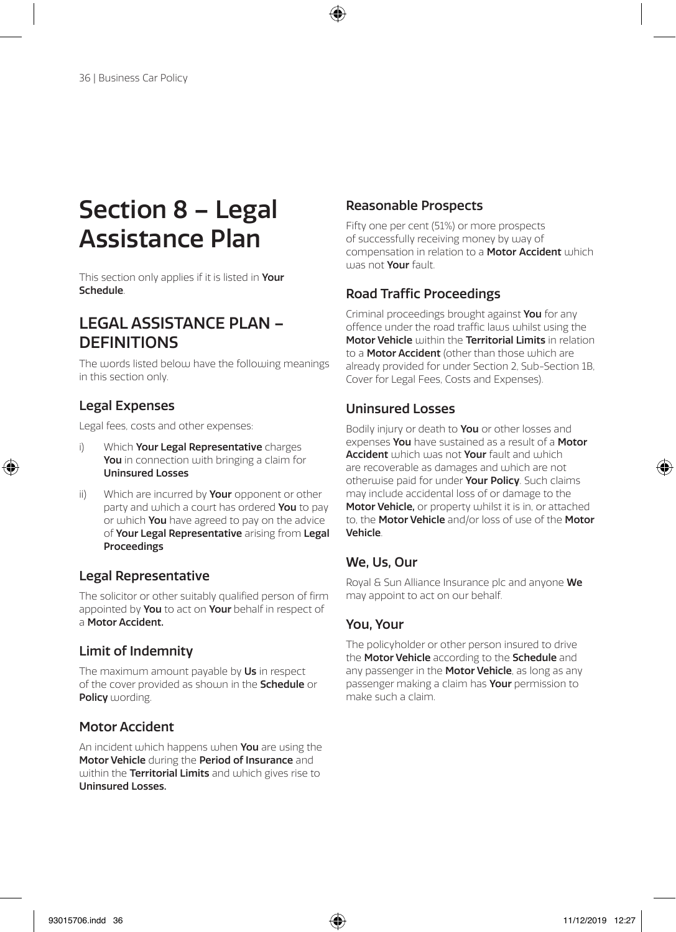## Section 8 – Legal Assistance Plan

This section only applies if it is listed in Your Schedule.

### LEGAL ASSISTANCE PLAN – **DEFINITIONS**

The words listed below have the following meanings in this section only.

#### Legal Expenses

Legal fees, costs and other expenses:

- i) Which Your Legal Representative charges You in connection with bringing a claim for Uninsured Losses
- ii) Which are incurred by Your opponent or other party and which a court has ordered You to pay or which You have agreed to pay on the advice of Your Legal Representative arising from Legal Proceedings

#### Legal Representative

The solicitor or other suitably qualified person of firm appointed by You to act on Your behalf in respect of a Motor Accident.

#### Limit of Indemnity

The maximum amount payable by Us in respect of the cover provided as shown in the Schedule or Policy wording.

#### Motor Accident

An incident which happens when You are using the Motor Vehicle during the Period of Insurance and within the Territorial Limits and which gives rise to Uninsured Losses.

#### Reasonable Prospects

Fifty one per cent (51%) or more prospects of successfully receiving money by way of compensation in relation to a **Motor Accident** which was not Your fault.

#### Road Traffic Proceedings

Criminal proceedings brought against You for any offence under the road traffic laws whilst using the Motor Vehicle within the Territorial Limits in relation to a **Motor Accident** (other than those which are already provided for under Section 2, Sub-Section 1B, Cover for Legal Fees, Costs and Expenses).

#### Uninsured Losses

Bodily injury or death to You or other losses and expenses You have sustained as a result of a Motor Accident which was not Your fault and which are recoverable as damages and which are not otherwise paid for under Your Policy. Such claims may include accidental loss of or damage to the Motor Vehicle, or property whilst it is in, or attached to, the Motor Vehicle and/or loss of use of the Motor Vehicle.

#### We, Us, Our

Royal & Sun Alliance Insurance plc and anyone We may appoint to act on our behalf.

#### You, Your

The policyholder or other person insured to drive the Motor Vehicle according to the Schedule and any passenger in the Motor Vehicle, as long as any passenger making a claim has **Your** permission to make such a claim.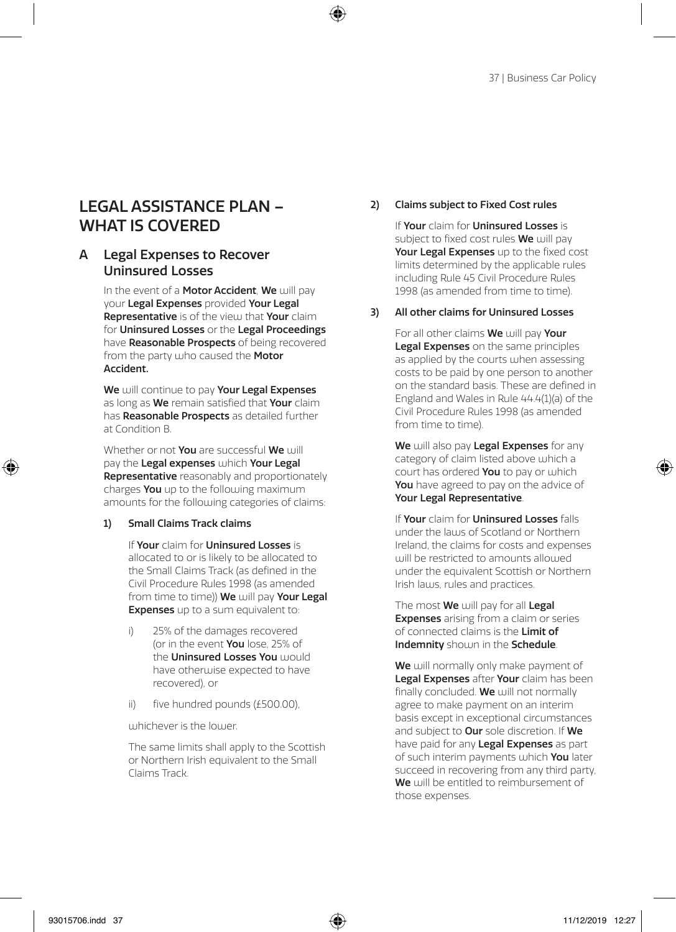### LEGAL ASSISTANCE PLAN – WHAT IS COVERED

#### A Legal Expenses to Recover Uninsured Losses

In the event of a **Motor Accident**, We will pay your Legal Expenses provided Your Legal **Representative** is of the view that Your claim for Uninsured Losses or the Legal Proceedings have **Reasonable Prospects** of being recovered from the party who caused the Motor Accident.

We will continue to pay Your Legal Expenses as long as We remain satisfied that Your claim has **Reasonable Prospects** as detailed further at Condition B.

Whether or not You are successful We will pay the Legal expenses which Your Legal Representative reasonably and proportionately charges You up to the following maximum amounts for the following categories of claims:

#### 1) Small Claims Track claims

If Your claim for Uninsured Losses is allocated to or is likely to be allocated to the Small Claims Track (as defined in the Civil Procedure Rules 1998 (as amended from time to time)) We will pay Your Legal **Expenses** up to a sum equivalent to:

- i) 25% of the damages recovered (or in the event You lose, 25% of the **Uninsured Losses You** would have otherwise expected to have recovered), or
- ii) five hundred pounds (£500.00),

whichever is the lower.

The same limits shall apply to the Scottish or Northern Irish equivalent to the Small Claims Track.

#### 2) Claims subject to Fixed Cost rules

If Your claim for Uninsured Losses is subject to fixed cost rules We will pay Your Legal Expenses up to the fixed cost limits determined by the applicable rules including Rule 45 Civil Procedure Rules 1998 (as amended from time to time).

#### 3) All other claims for Uninsured Losses

For all other claims We will pay Your Legal Expenses on the same principles as applied by the courts when assessing costs to be paid by one person to another on the standard basis. These are defined in England and Wales in Rule 44.4(1)(a) of the Civil Procedure Rules 1998 (as amended from time to time).

We will also pay Legal Expenses for any category of claim listed above which a court has ordered You to pay or which You have agreed to pay on the advice of Your Legal Representative.

If Your claim for Uninsured Losses falls under the laws of Scotland or Northern Ireland, the claims for costs and expenses will be restricted to amounts allowed under the equivalent Scottish or Northern Irish laws, rules and practices.

The most We will pay for all Legal **Expenses** arising from a claim or series of connected claims is the Limit of Indemnity should in the Schedule.

We will normally only make payment of Legal Expenses after Your claim has been finally concluded. We will not normally agree to make payment on an interim basis except in exceptional circumstances and subject to **Our** sole discretion. If **We** have paid for any Legal Expenses as part of such interim payments which You later succeed in recovering from any third party, We will be entitled to reimbursement of those expenses.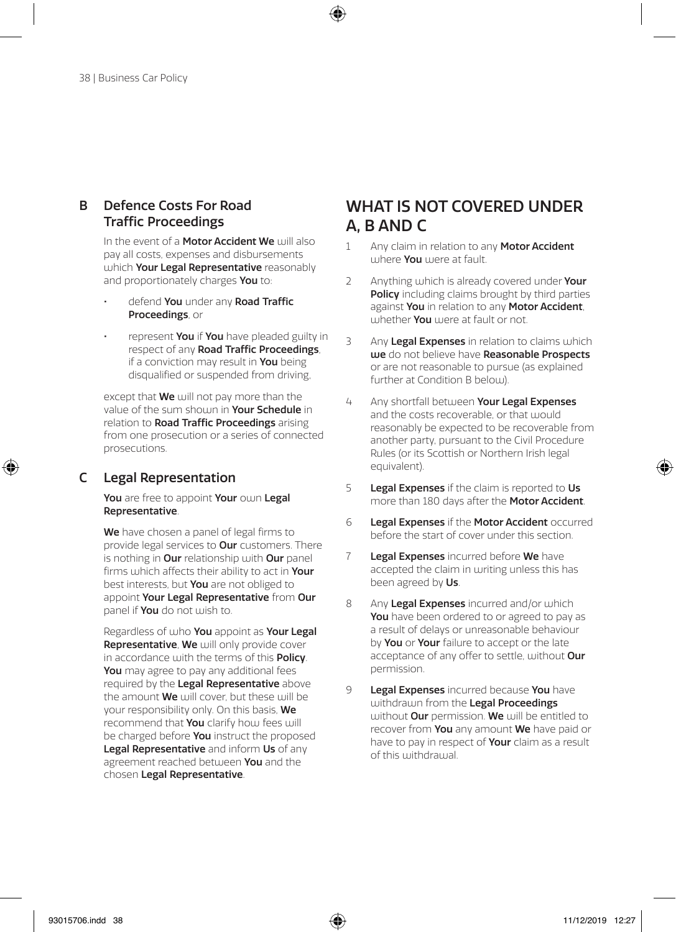#### B Defence Costs For Road Traffic Proceedings

In the event of a **Motor Accident We** will also pay all costs, expenses and disbursements which Your Legal Representative reasonably and proportionately charges You to:

- defend You under any Road Traffic Proceedings, or
- represent You if You have pleaded guilty in respect of any Road Traffic Proceedings, if a conviction may result in **You** being disqualified or suspended from driving,

except that **We** will not pay more than the value of the sum shown in Your Schedule in relation to Road Traffic Proceedings arising from one prosecution or a series of connected prosecutions.

#### C Legal Representation

You are free to appoint Your own Legal Representative.

We have chosen a panel of legal firms to provide legal services to **Our** customers. There is nothing in Our relationship with Our panel firms which affects their ability to act in Your best interests, but You are not obliged to appoint Your Legal Representative from Our panel if **You** do not wish to.

Regardless of who You appoint as Your Legal Representative, We will only provide cover in accordance with the terms of this **Policy**. You may agree to pay any additional fees required by the Legal Representative above the amount **We** will cover, but these will be your responsibility only. On this basis, We recommend that You clarify how fees will be charged before You instruct the proposed Legal Representative and inform Us of any agreement reached between You and the chosen Legal Representative.

### WHAT IS NOT COVERED UNDER A, B AND C

- 1 Any claim in relation to any Motor Accident where You were at fault.
- 2 Anything which is already covered under Your Policy including claims brought by third parties against You in relation to any Motor Accident, whether You were at fault or not.
- 3 Any Legal Expenses in relation to claims which we do not believe have Reasonable Prospects or are not reasonable to pursue (as explained further at Condition B below).
- 4 Any shortfall between Your Legal Expenses and the costs recoverable, or that would reasonably be expected to be recoverable from another party, pursuant to the Civil Procedure Rules (or its Scottish or Northern Irish legal equivalent).
- 5 Legal Expenses if the claim is reported to Us more than 180 days after the **Motor Accident**.
- 6 Legal Expenses if the Motor Accident occurred before the start of cover under this section.
- 7 Legal Expenses incurred before We have accepted the claim in writing unless this has been agreed by Us.
- 8 Any Legal Expenses incurred and/or which You have been ordered to or agreed to pay as a result of delays or unreasonable behaviour by You or Your failure to accept or the late acceptance of any offer to settle, without Our permission.
- 9 Legal Expenses incurred because You have withdrawn from the Legal Proceedings without Our permission. We will be entitled to recover from You any amount We have paid or have to pay in respect of **Your** claim as a result of this withdrawal.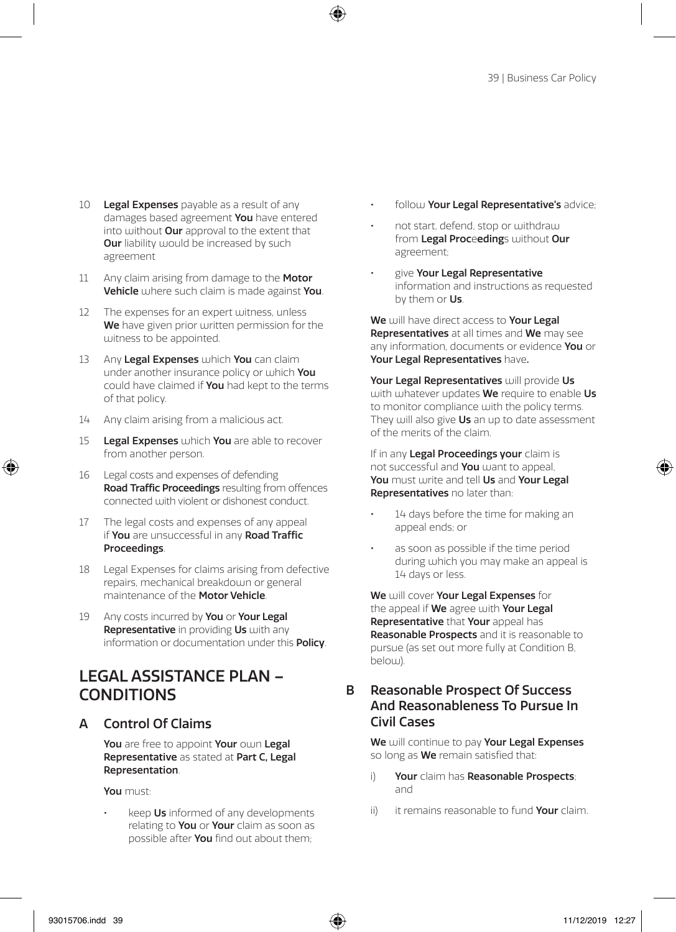- 10 Legal Expenses payable as a result of any damages based agreement You have entered into without **Our** approval to the extent that **Our** liability would be increased by such agreement
- 11 Any claim arising from damage to the Motor Vehicle where such claim is made against You.
- 12 The expenses for an expert witness, unless We have given prior written permission for the witness to be appointed.
- 13 Any Legal Expenses which You can claim under another insurance policy or which You could have claimed if You had kept to the terms of that policy.
- 14 Any claim arising from a malicious act.
- 15 Legal Expenses which You are able to recover from another person.
- 16 Legal costs and expenses of defending Road Traffic Proceedings resulting from offences connected with violent or dishonest conduct.
- 17 The legal costs and expenses of any appeal if You are unsuccessful in any Road Traffic Proceedings.
- 18 Legal Expenses for claims arising from defective repairs, mechanical breakdown or general maintenance of the Motor Vehicle.
- 19 Any costs incurred by You or Your Legal Representative in providing Us with any information or documentation under this **Policy**.

## LEGAL ASSISTANCE PLAN – **CONDITIONS**

#### A Control Of Claims

You are free to appoint Your own Legal Representative as stated at Part C, Legal Representation.

You must:

keep Us informed of any developments relating to You or Your claim as soon as possible after You find out about them;

- follow Your Legal Representative's advice:
- not start, defend, stop or withdraw from Legal Proceedings without Our agreement;
- give Your Legal Representative information and instructions as requested by them or Us.

We will have direct access to Your Legal Representatives at all times and We may see any information, documents or evidence You or Your Legal Representatives have.

Your Legal Representatives will provide Us with whatever updates We require to enable Us to monitor compliance with the policy terms. They will also give Us an up to date assessment of the merits of the claim.

If in any Legal Proceedings your claim is not successful and You want to appeal, You must write and tell Us and Your Legal Representatives no later than:

- 14 days before the time for making an appeal ends; or
- as soon as possible if the time period during which you may make an appeal is 14 days or less.

We will cover Your Legal Expenses for the appeal if We agree with Your Legal Representative that Your appeal has Reasonable Prospects and it is reasonable to pursue (as set out more fully at Condition B, below).

#### B Reasonable Prospect Of Success And Reasonableness To Pursue In Civil Cases

We will continue to pay Your Legal Expenses so long as **We** remain satisfied that:

- i) Your claim has Reasonable Prospects; and
- ii) it remains reasonable to fund **Your** claim.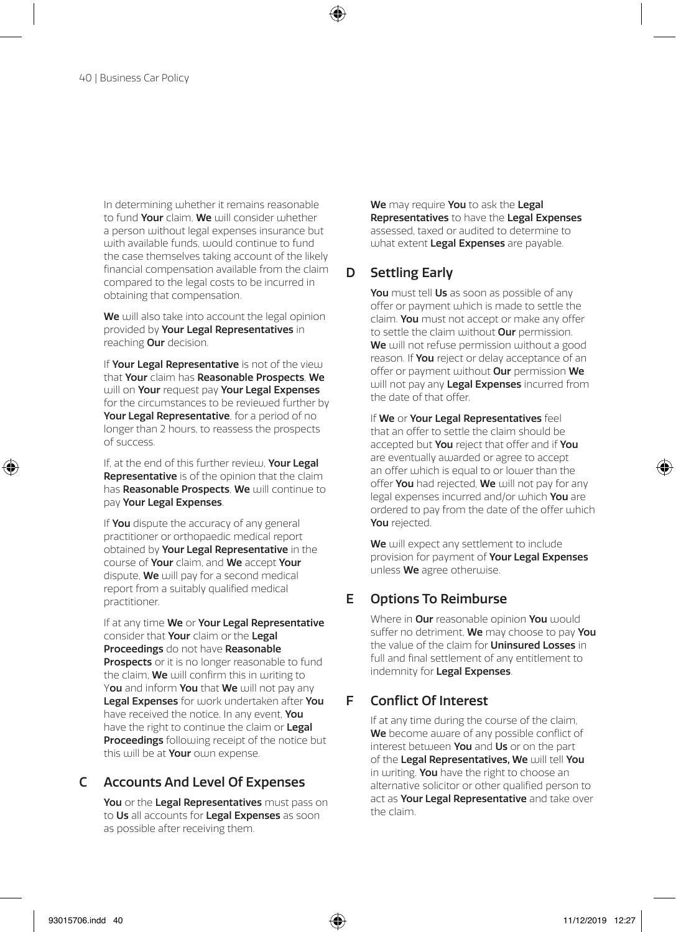In determining whether it remains reasonable to fund Your claim, We will consider whether a person without legal expenses insurance but with available funds, would continue to fund the case themselves taking account of the likely financial compensation available from the claim compared to the legal costs to be incurred in obtaining that compensation.

We will also take into account the legal opinion provided by Your Legal Representatives in reaching Our decision.

If Your Legal Representative is not of the view that Your claim has Reasonable Prospects, We will on Your request pay Your Legal Expenses for the circumstances to be reviewed further by Your Legal Representative, for a period of no longer than 2 hours, to reassess the prospects of success.

If, at the end of this further review, Your Legal **Representative** is of the opinion that the claim has Reasonable Prospects, We will continue to pay Your Legal Expenses.

If You dispute the accuracy of any general practitioner or orthopaedic medical report obtained by Your Legal Representative in the course of Your claim, and We accept Your dispute, We will pay for a second medical report from a suitably qualified medical practitioner.

If at any time We or Your Legal Representative consider that Your claim or the Legal Proceedings do not have Reasonable Prospects or it is no longer reasonable to fund the claim, **We** will confirm this in writing to You and inform You that We will not pay any Legal Expenses for work undertaken after You have received the notice. In any event, You have the right to continue the claim or Legal Proceedings following receipt of the notice but this will be at Your own expense.

#### C Accounts And Level Of Expenses

You or the Legal Representatives must pass on to Us all accounts for Legal Expenses as soon as possible after receiving them.

We may require You to ask the Legal Representatives to have the Legal Expenses assessed, taxed or audited to determine to what extent Legal Expenses are payable.

#### D Settling Early

You must tell Us as soon as possible of any offer or payment which is made to settle the claim. You must not accept or make any offer to settle the claim without **Our** permission. We will not refuse permission without a good reason. If You reject or delay acceptance of an offer or payment without Our permission We will not pay any Legal Expenses incurred from the date of that offer.

If We or Your Legal Representatives feel that an offer to settle the claim should be accepted but You reject that offer and if You are eventually awarded or agree to accept an offer which is equal to or lower than the offer You had rejected, We will not pay for any legal expenses incurred and/or which You are ordered to pay from the date of the offer which You rejected.

We will expect any settlement to include provision for payment of Your Legal Expenses unless We agree otherwise.

#### E Options To Reimburse

Where in **Our** reasonable opinion You would suffer no detriment. We may choose to pay You the value of the claim for **Uninsured Losses** in full and final settlement of any entitlement to indemnity for Legal Expenses.

#### F Conflict Of Interest

If at any time during the course of the claim, We become aware of any possible conflict of interest between You and Us or on the part of the Legal Representatives. We will tell You in writing. You have the right to choose an alternative solicitor or other qualified person to act as Your Legal Representative and take over the claim.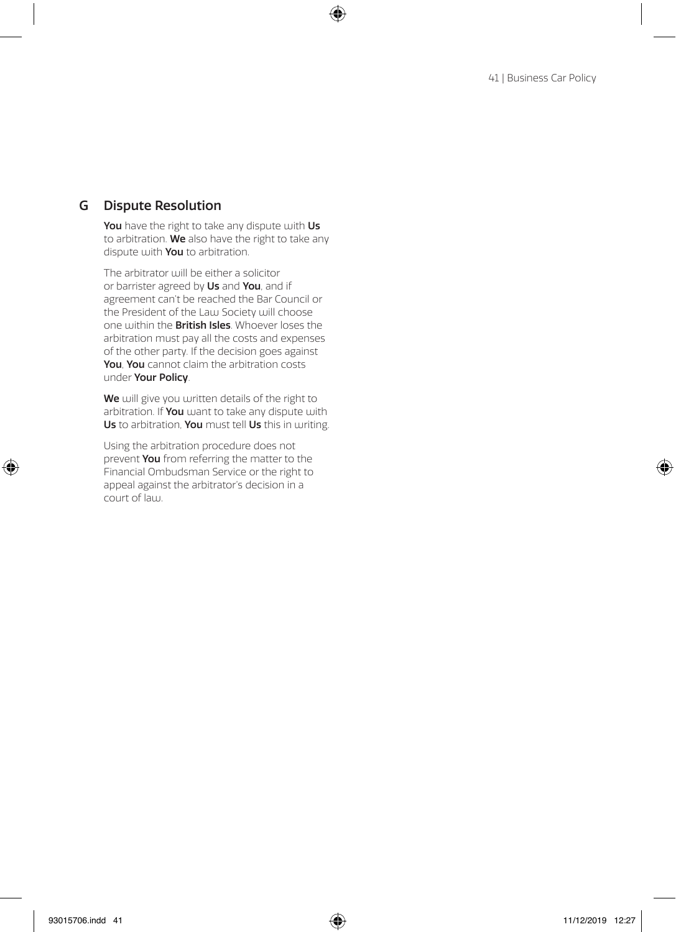#### G Dispute Resolution

You have the right to take any dispute with Us to arbitration. We also have the right to take any dispute with You to arbitration.

The arbitrator will be either a solicitor or barrister agreed by Us and You, and if agreement can't be reached the Bar Council or the President of the Law Society will choose one within the British Isles. Whoever loses the arbitration must pay all the costs and expenses of the other party. If the decision goes against You. You cannot claim the arbitration costs under Your Policy.

We will give you written details of the right to arbitration. If You want to take any dispute with Us to arbitration, You must tell Us this in writing.

Using the arbitration procedure does not prevent You from referring the matter to the Financial Ombudsman Service or the right to appeal against the arbitrator's decision in a court of law.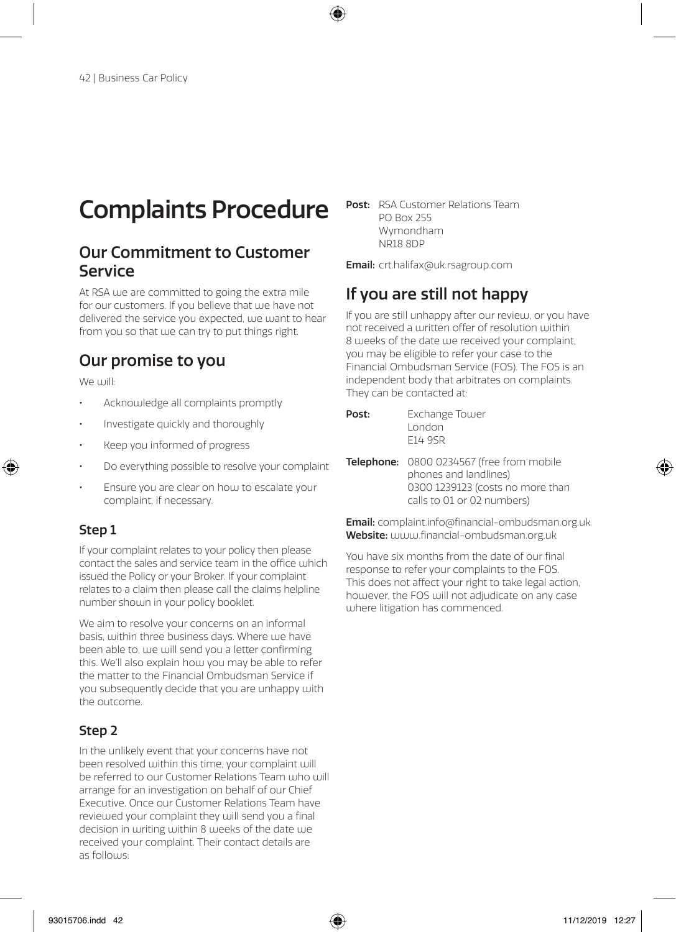## Complaints Procedure

### Our Commitment to Customer Service

At RSA we are committed to going the extra mile for our customers. If you believe that we have not delivered the service you expected, we want to hear from you so that uje can try to put things right.

## Our promise to you

We will:

- Acknowledge all complaints promptly
- Investigate quickly and thoroughly
- Keep you informed of progress
- Do everything possible to resolve your complaint
- Ensure you are clear on how to escalate your complaint, if necessary.

#### Step 1

If your complaint relates to your policy then please contact the sales and service team in the office which issued the Policy or your Broker. If your complaint relates to a claim then please call the claims helpline number shown in your policy booklet.

We aim to resolve your concerns on an informal basis, within three business days. Where we have been able to, we will send you a letter confirming this. We'll also explain how you may be able to refer the matter to the Financial Ombudsman Service if you subsequently decide that you are unhappy with the outcome.

#### Step 2

In the unlikely event that your concerns have not been resolved within this time, your complaint will be referred to our Customer Relations Team who will arrange for an investigation on behalf of our Chief Executive. Once our Customer Relations Team have reviewed your complaint they will send you a final decision in writing within 8 weeks of the date we received your complaint. Their contact details are as follows:

Post: RSA Customer Relations Team PO Box 255 Wymondham NR18 8DP

Email: crt.halifax@uk.rsagroup.com

## If you are still not happy

If you are still unhappy after our review, or you have not received a written offer of resolution within 8 weeks of the date we received your complaint, you may be eligible to refer your case to the Financial Ombudsman Service (FOS). The FOS is an independent body that arbitrates on complaints. They can be contacted at:

| Post: | Exchange Tower |
|-------|----------------|
|       | London         |
|       | F14 9SR        |

Telephone: 0800 0234567 (free from mobile phones and landlines) 0300 1239123 (costs no more than calls to 01 or 02 numbers)

Email: complaint.info@financial-ombudsman.org.uk Website: www.financial-ombudsman.org.uk

You have six months from the date of our final response to refer your complaints to the FOS. This does not affect your right to take legal action, however, the FOS will not adjudicate on any case where litigation has commenced.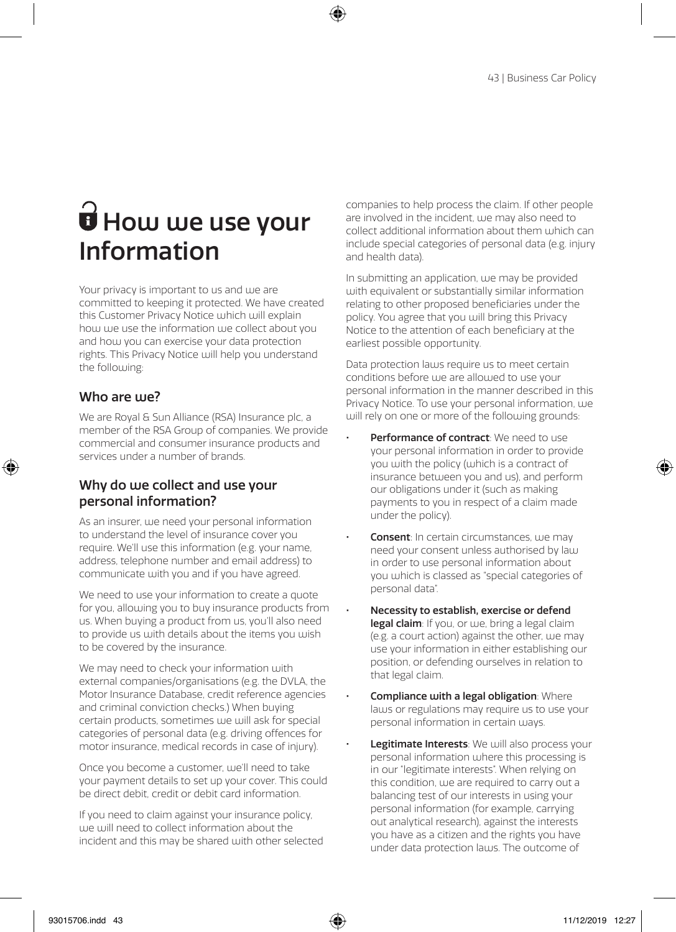## $\vec{\bm{\theta}}$  How we use your Information

Your privacy is important to us and we are committed to keeping it protected. We have created this Customer Privacy Notice which will explain how we use the information we collect about you and hou you can exercise your data protection rights. This Privacy Notice will help you understand the following:

#### Who are we?

We are Royal & Sun Alliance (RSA) Insurance plc, a member of the RSA Group of companies. We provide commercial and consumer insurance products and services under a number of brands.

#### Why do we collect and use your personal information?

As an insurer, we need your personal information to understand the level of insurance cover you require. We'll use this information (e.g. your name, address, telephone number and email address) to communicate with you and if you have agreed.

We need to use your information to create a quote for you, allowing you to buy insurance products from us. When buying a product from us, you'll also need to provide us with details about the items you wish to be covered by the insurance.

We may need to check your information with external companies/organisations (e.g. the DVLA, the Motor Insurance Database, credit reference agencies and criminal conviction checks.) When buying certain products, sometimes we will ask for special categories of personal data (e.g. driving offences for motor insurance, medical records in case of injury).

Once you become a customer, we'll need to take your payment details to set up your cover. This could be direct debit, credit or debit card information.

If you need to claim against your insurance policy, we will need to collect information about the incident and this may be shared with other selected companies to help process the claim. If other people are involved in the incident, we may also need to collect additional information about them which can include special categories of personal data (e.g. injury and health data).

In submitting an application, we may be provided with equivalent or substantially similar information relating to other proposed beneficiaries under the policy. You agree that you will bring this Privacy Notice to the attention of each beneficiary at the earliest possible opportunity.

Data protection laws require us to meet certain conditions before we are allowed to use your personal information in the manner described in this Privacy Notice. To use your personal information, we will rely on one or more of the following grounds:

- Performance of contract: We need to use your personal information in order to provide you with the policy (which is a contract of insurance between you and us), and perform our obligations under it (such as making payments to you in respect of a claim made under the policy).
- **Consent:** In certain circumstances, we may need your consent unless authorised by law in order to use personal information about you which is classed as "special categories of personal data".
- Necessity to establish, exercise or defend legal claim: If you, or we, bring a legal claim (e.g. a court action) against the other, we may use your information in either establishing our position, or defending ourselves in relation to that legal claim.
- Compliance with a legal obligation: Where laws or regulations may require us to use your personal information in certain ways.
- Legitimate Interests: We will also process your personal information where this processing is in our "legitimate interests". When relying on this condition, we are required to carry out a balancing test of our interests in using your personal information (for example, carrying out analytical research), against the interests you have as a citizen and the rights you have under data protection laws. The outcome of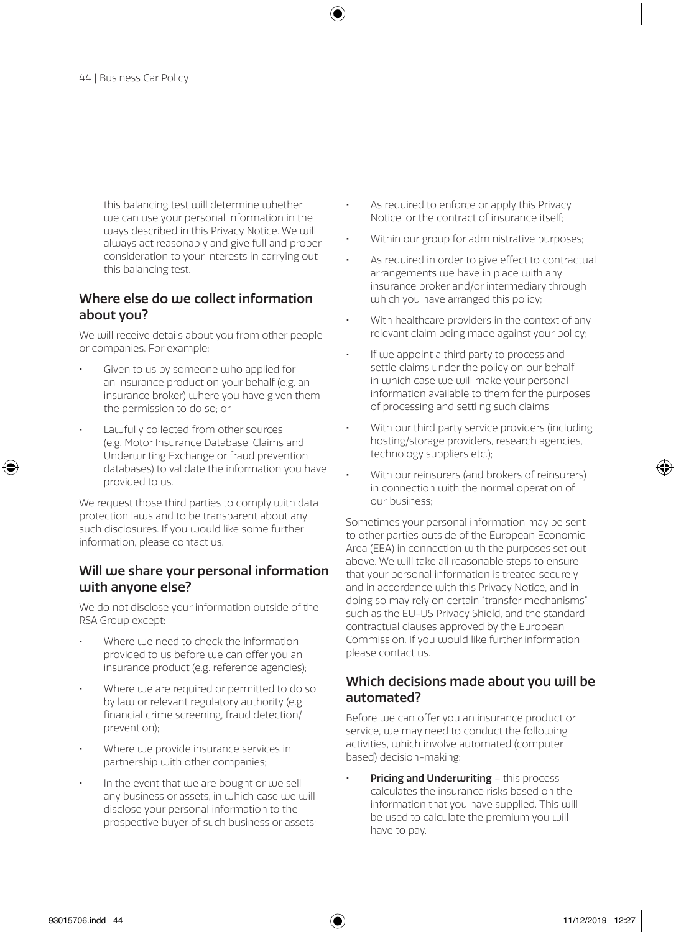this balancing test will determine whether we can use your personal information in the ways described in this Privacy Notice. We will always act reasonably and give full and proper consideration to your interests in carrying out this balancing test.

#### Where else do uje collect information about you?

We will receive details about you from other people or companies. For example:

- Given to us by someone who applied for an insurance product on your behalf (e.g. an insurance broker) where you have given them the permission to do so; or
- Lawfully collected from other sources (e.g. Motor Insurance Database, Claims and Underwriting Exchange or fraud prevention databases) to validate the information you have provided to us.

We request those third parties to comply with data protection laws and to be transparent about any such disclosures. If you would like some further information, please contact us.

#### Will we share your personal information with anyone else?

We do not disclose your information outside of the RSA Group except:

- Where we need to check the information provided to us before we can offer you an insurance product (e.g. reference agencies);
- Where we are required or permitted to do so by law or relevant regulatory authority (e.g. financial crime screening, fraud detection/ prevention);
- Where we provide insurance services in partnership with other companies;
- In the event that we are bought or we sell any business or assets, in which case we will disclose your personal information to the prospective buyer of such business or assets;
- As required to enforce or apply this Privacy Notice, or the contract of insurance itself;
- Within our group for administrative purposes;
- As required in order to give effect to contractual arrangements we have in place with any insurance broker and/or intermediary through which you have arranged this policy;
- With healthcare providers in the context of any relevant claim being made against your policy;
- If we appoint a third party to process and settle claims under the policy on our behalf, in which case we will make your personal information available to them for the purposes of processing and settling such claims;
- With our third party service providers (including hosting/storage providers, research agencies, technology suppliers etc.);
- With our reinsurers (and brokers of reinsurers) in connection with the normal operation of our business;

Sometimes your personal information may be sent to other parties outside of the European Economic Area (EEA) in connection with the purposes set out above. We will take all reasonable steps to ensure that your personal information is treated securely and in accordance with this Privacy Notice, and in doing so may rely on certain "transfer mechanisms" such as the EU-US Privacy Shield, and the standard contractual clauses approved by the European Commission. If you would like further information please contact us.

#### Which decisions made about you will be automated?

Before we can offer you an insurance product or service, we may need to conduct the following activities, which involve automated (computer based) decision-making:

Pricing and Underwriting - this process calculates the insurance risks based on the information that you have supplied. This will be used to calculate the premium you will have to pay.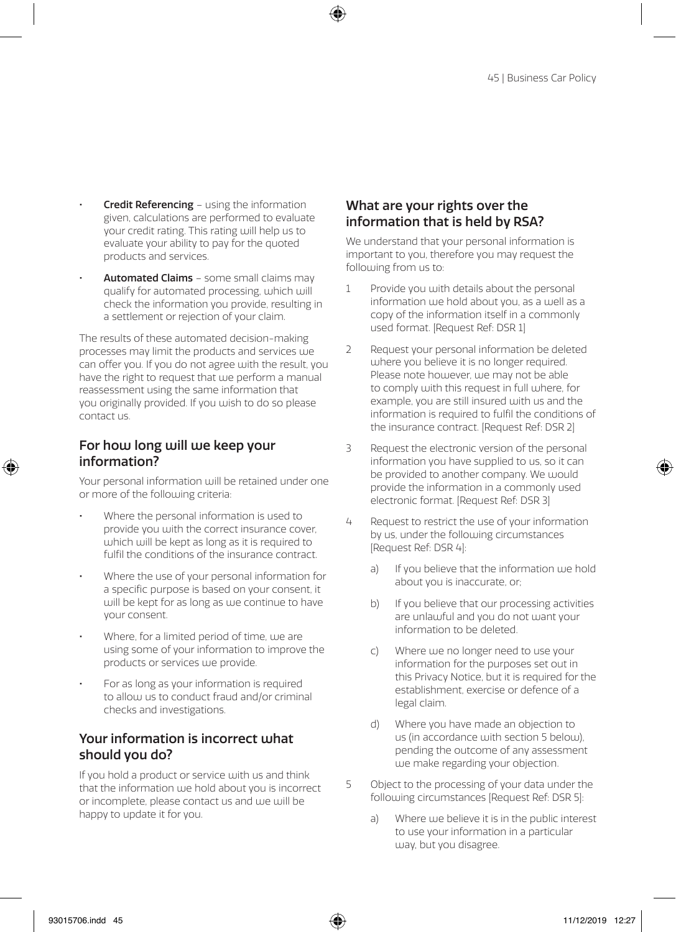- **Credit Referencing using the information** given, calculations are performed to evaluate your credit rating. This rating will help us to evaluate your ability to pay for the quoted products and services.
- Automated Claims some small claims may qualify for automated processing, which will check the information you provide, resulting in a settlement or rejection of your claim.

The results of these automated decision-making processes may limit the products and services we can offer you. If you do not agree with the result, you have the right to request that we perform a manual reassessment using the same information that you originally provided. If you wish to do so please contact us.

#### For how long will we keep your information?

Your personal information will be retained under one or more of the following criteria:

- Where the personal information is used to provide you with the correct insurance cover, which will be kept as long as it is required to fulfil the conditions of the insurance contract.
- Where the use of your personal information for a specific purpose is based on your consent, it will be kept for as long as we continue to have your consent.
- Where, for a limited period of time, we are using some of your information to improve the products or services we provide.
- For as long as your information is required to allow us to conduct fraud and/or criminal checks and investigations.

#### Your information is incorrect what should you do?

If you hold a product or service with us and think that the information we hold about you is incorrect or incomplete, please contact us and we will be happy to update it for you.

#### What are your rights over the information that is held by RSA?

We understand that your personal information is important to you, therefore you may request the following from us to:

- 1 Provide you with details about the personal information we hold about you, as a well as a copy of the information itself in a commonly used format. [Request Ref: DSR 1]
- 2 Request your personal information be deleted where you believe it is no longer required. Please note however, we may not be able to comply with this request in full where, for example, you are still insured with us and the information is required to fulfil the conditions of the insurance contract. [Request Ref: DSR 2]
- 3 Request the electronic version of the personal information you have supplied to us, so it can be provided to another company. We would provide the information in a commonly used electronic format. [Request Ref: DSR 3]
- 4 Request to restrict the use of your information by us, under the following circumstances [Request Ref: DSR 4]:
	- a) If you believe that the information we hold about you is inaccurate, or;
	- b) If you believe that our processing activities are unlawful and you do not want your information to be deleted.
	- c) Where we no longer need to use your information for the purposes set out in this Privacy Notice, but it is required for the establishment, exercise or defence of a legal claim.
	- d) Where you have made an objection to us (in accordance with section 5 below), pending the outcome of any assessment we make regarding your objection.
- 5 Object to the processing of your data under the following circumstances [Request Ref: DSR 5]:
	- a) Where we believe it is in the public interest to use your information in a particular way, but you disagree.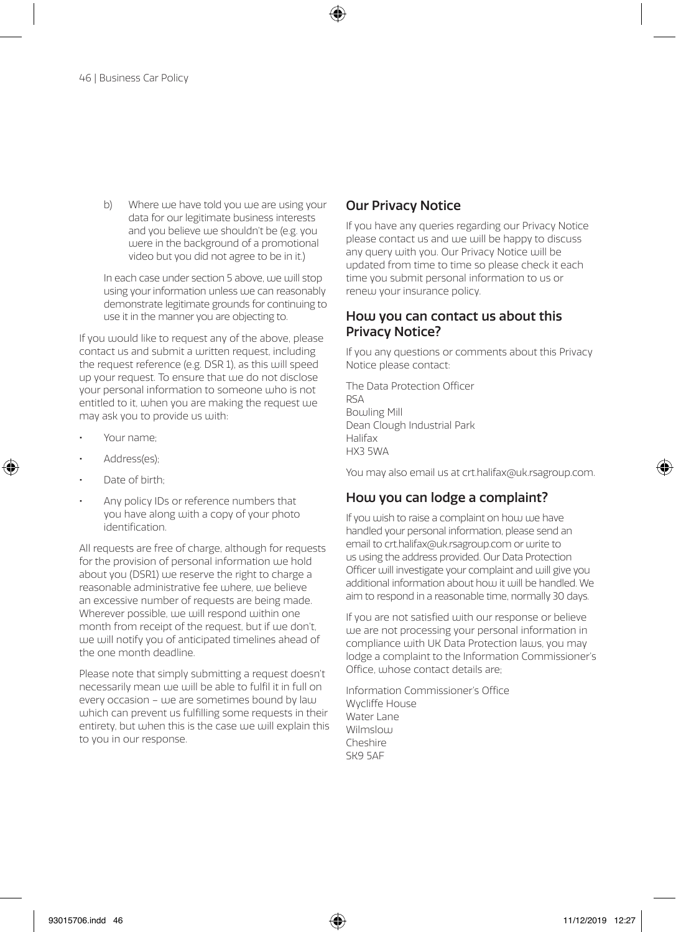b) Where we have told you we are using your data for our legitimate business interests and you believe use shouldn't be (e.g. you were in the background of a promotional video but you did not agree to be in it.)

In each case under section 5 above, we will stop using your information unless we can reasonably demonstrate legitimate grounds for continuing to use it in the manner you are objecting to.

If you would like to request any of the above, please contact us and submit a written request, including the request reference (e.g. DSR 1), as this will speed up your request. To ensure that we do not disclose your personal information to someone who is not entitled to it, when you are making the request we may ask you to provide us with:

- Your name;
- Address(es);
- Date of birth:
- Any policy IDs or reference numbers that you have along with a copy of your photo identification.

All requests are free of charge, although for requests for the provision of personal information we hold about you (DSR1) we reserve the right to charge a reasonable administrative fee where, we believe an excessive number of requests are being made. Wherever possible, we will respond within one month from receipt of the request, but if we don't, we will notify you of anticipated timelines ahead of the one month deadline.

Please note that simply submitting a request doesn't necessarily mean we will be able to fulfil it in full on every occasion – uje are sometimes bound by  $\lambda$ which can prevent us fulfilling some requests in their entirety, but when this is the case we will explain this to you in our response.

#### Our Privacy Notice

If you have any queries regarding our Privacy Notice please contact us and uje will be happy to discuss any query with you. Our Privacy Notice will be updated from time to time so please check it each time you submit personal information to us or renew your insurance policy.

#### How you can contact us about this Privacy Notice?

If you any questions or comments about this Privacy Notice please contact:

The Data Protection Officer RSA Bowling Mill Dean Clough Industrial Park Halifax HX3 5WA

You may also email us at crt.halifax@uk.rsagroup.com.

#### How you can lodge a complaint?

If you wish to raise a complaint on how we have handled your personal information, please send an email to crt.halifax@uk.rsagroup.com or write to us using the address provided. Our Data Protection Officer will investigate your complaint and will give you additional information about how it will be handled. We aim to respond in a reasonable time, normally 30 days.

If you are not satisfied with our response or believe we are not processing your personal information in compliance with UK Data Protection laws, you may lodge a complaint to the Information Commissioner's Office, whose contact details are;

Information Commissioner's Office Wycliffe House Water Lane Wilmslow Cheshire SK9 5AF